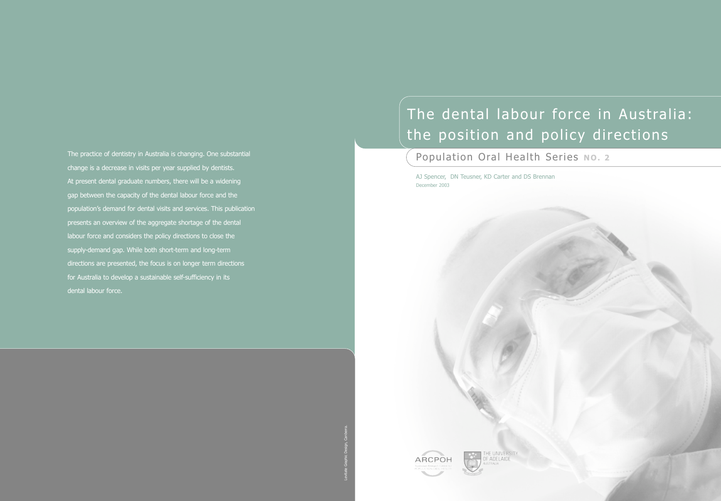# The dental labour force in Australia: the position and policy directions

**Population Oral Health Series No. 2** 

AJ Spencer, DN Teusner, KD Carter and DS Brennan December 2003



THE UNIVERSITY<br>OF ADELAIDE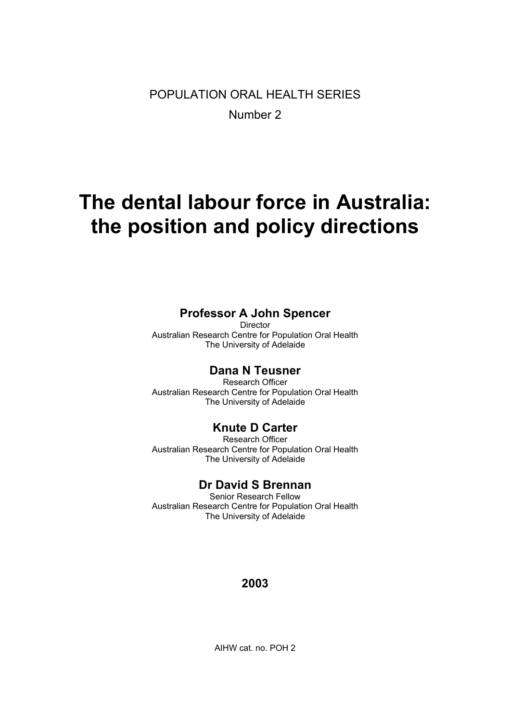POPULATION ORAL HEALTH SERIES Number 2

# **The dental labour force in Australia: the position and policy directions**

### **Professor A John Spencer**

Director Australian Research Centre for Population Oral Health The University of Adelaide

### **Dana N Teusner**

Research Officer Australian Research Centre for Population Oral Health The University of Adelaide

### **Knute D Carter**

Research Officer Australian Research Centre for Population Oral Health The University of Adelaide

### **Dr David S Brennan**

Senior Research Fellow Australian Research Centre for Population Oral Health The University of Adelaide

### **2003**

AIHW cat. no. POH 2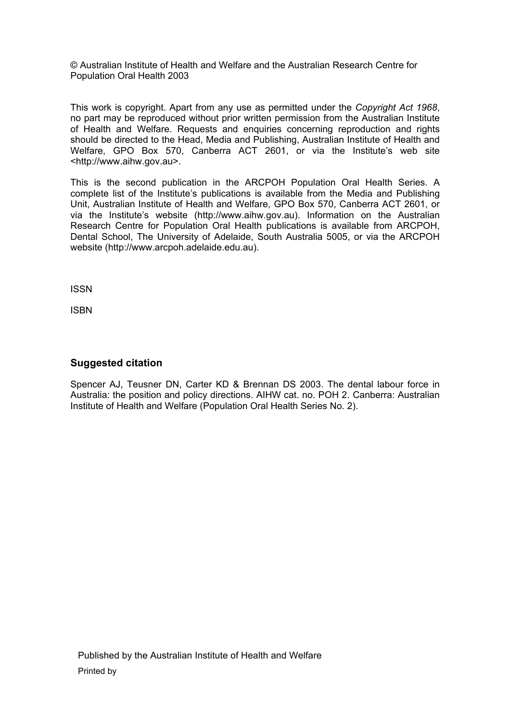© Australian Institute of Health and Welfare and the Australian Research Centre for Population Oral Health 2003

This work is copyright. Apart from any use as permitted under the *Copyright Act 1968*, no part may be reproduced without prior written permission from the Australian Institute of Health and Welfare. Requests and enquiries concerning reproduction and rights should be directed to the Head, Media and Publishing, Australian Institute of Health and Welfare, GPO Box 570, Canberra ACT 2601, or via the Institute's web site <http://www.aihw.gov.au>.

This is the second publication in the ARCPOH Population Oral Health Series. A complete list of the Institute's publications is available from the Media and Publishing Unit, Australian Institute of Health and Welfare, GPO Box 570, Canberra ACT 2601, or via the Institute's website (http://www.aihw.gov.au). Information on the Australian Research Centre for Population Oral Health publications is available from ARCPOH, Dental School, The University of Adelaide, South Australia 5005, or via the ARCPOH website (http://www.arcpoh.adelaide.edu.au).

ISSN

ISBN

### **Suggested citation**

Spencer AJ, Teusner DN, Carter KD & Brennan DS 2003. The dental labour force in Australia: the position and policy directions. AIHW cat. no. POH 2. Canberra: Australian Institute of Health and Welfare (Population Oral Health Series No. 2).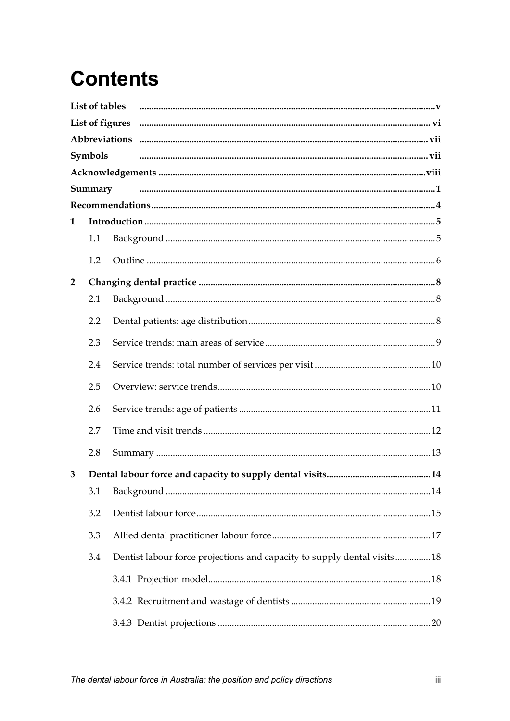# **Contents**

|                | List of tables |                                                                          |
|----------------|----------------|--------------------------------------------------------------------------|
|                |                | List of figures                                                          |
|                |                |                                                                          |
|                | Symbols        |                                                                          |
|                |                |                                                                          |
|                | Summary        |                                                                          |
|                |                |                                                                          |
| 1              |                |                                                                          |
|                | 1.1            |                                                                          |
|                | 1.2            |                                                                          |
| $\overline{2}$ |                |                                                                          |
|                | 2.1            |                                                                          |
|                | 2.2            |                                                                          |
|                | 2.3            |                                                                          |
|                | 2.4            |                                                                          |
|                | 2.5            |                                                                          |
|                | 2.6            |                                                                          |
|                | 2.7            |                                                                          |
|                | 2.8            |                                                                          |
| 3              |                |                                                                          |
|                | 3.1            |                                                                          |
|                | 3.2            |                                                                          |
|                | 3.3            |                                                                          |
|                | 3.4            | Dentist labour force projections and capacity to supply dental visits 18 |
|                |                |                                                                          |
|                |                |                                                                          |
|                |                |                                                                          |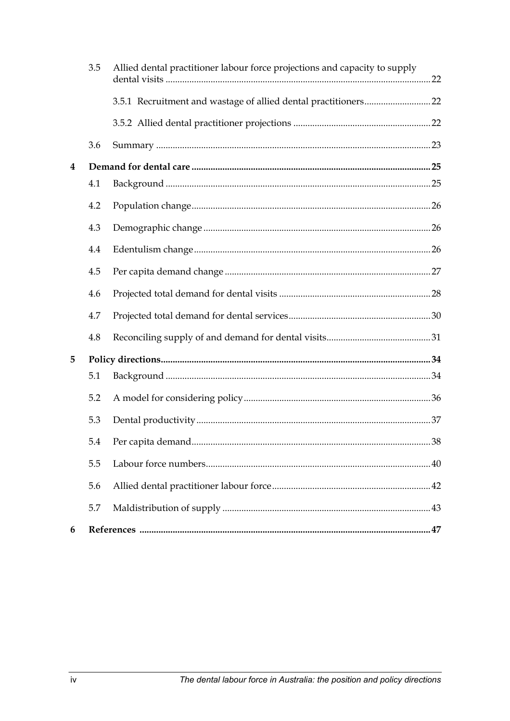|          | 3.5 | Allied dental practitioner labour force projections and capacity to supply |  |
|----------|-----|----------------------------------------------------------------------------|--|
|          |     |                                                                            |  |
|          |     |                                                                            |  |
|          | 3.6 |                                                                            |  |
| $\bf{4}$ |     |                                                                            |  |
|          | 4.1 |                                                                            |  |
|          | 4.2 |                                                                            |  |
|          | 4.3 |                                                                            |  |
|          | 4.4 |                                                                            |  |
|          | 4.5 |                                                                            |  |
|          | 4.6 |                                                                            |  |
|          | 4.7 |                                                                            |  |
|          | 4.8 |                                                                            |  |
| 5        |     |                                                                            |  |
|          | 5.1 |                                                                            |  |
|          | 5.2 |                                                                            |  |
|          | 5.3 |                                                                            |  |
|          | 5.4 |                                                                            |  |
|          | 5.5 |                                                                            |  |
|          | 5.6 |                                                                            |  |
|          | 5.7 |                                                                            |  |
| 6        |     |                                                                            |  |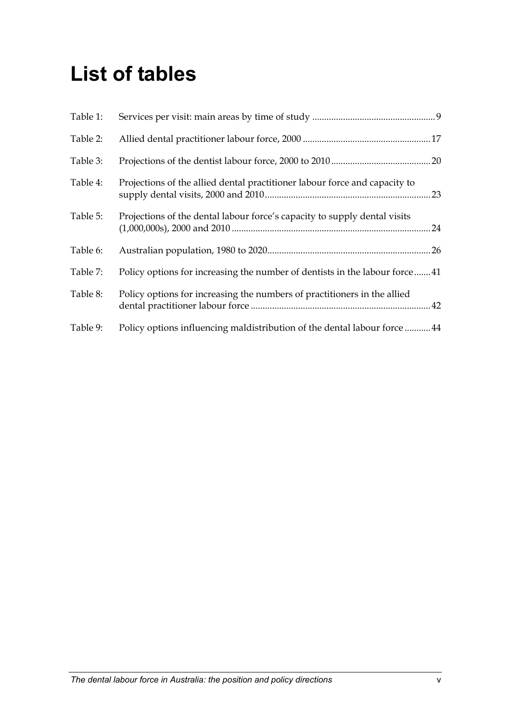# <span id="page-5-0"></span>**List of tables**

| Table 1: |                                                                            |    |
|----------|----------------------------------------------------------------------------|----|
| Table 2: |                                                                            |    |
| Table 3: |                                                                            |    |
| Table 4: | Projections of the allied dental practitioner labour force and capacity to | 23 |
| Table 5: | Projections of the dental labour force's capacity to supply dental visits  |    |
| Table 6: |                                                                            |    |
| Table 7: | Policy options for increasing the number of dentists in the labour force41 |    |
| Table 8: | Policy options for increasing the numbers of practitioners in the allied   |    |
| Table 9: | Policy options influencing maldistribution of the dental labour force 44   |    |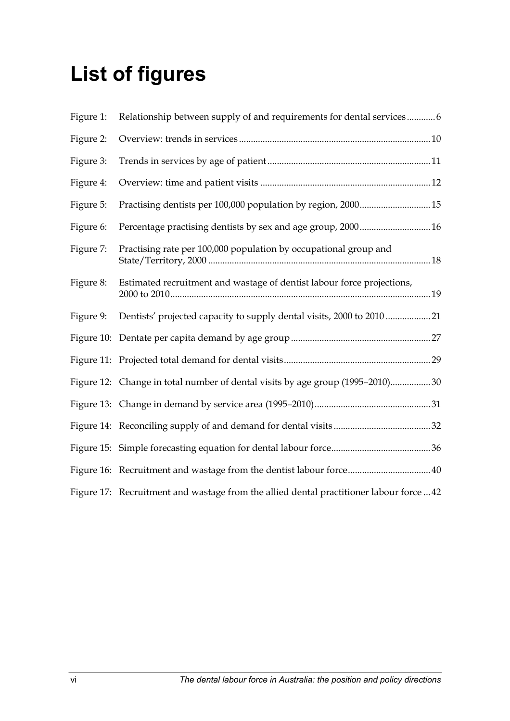# <span id="page-6-0"></span>**List of figures**

| Figure 1: | Relationship between supply of and requirements for dental services6                    |
|-----------|-----------------------------------------------------------------------------------------|
| Figure 2: |                                                                                         |
| Figure 3: |                                                                                         |
| Figure 4: |                                                                                         |
| Figure 5: |                                                                                         |
| Figure 6: | Percentage practising dentists by sex and age group, 2000 16                            |
| Figure 7: | Practising rate per 100,000 population by occupational group and                        |
| Figure 8: | Estimated recruitment and wastage of dentist labour force projections,                  |
| Figure 9: |                                                                                         |
|           |                                                                                         |
|           |                                                                                         |
|           | Figure 12: Change in total number of dental visits by age group (1995-2010)30           |
|           |                                                                                         |
|           |                                                                                         |
|           |                                                                                         |
|           |                                                                                         |
|           | Figure 17: Recruitment and wastage from the allied dental practitioner labour force  42 |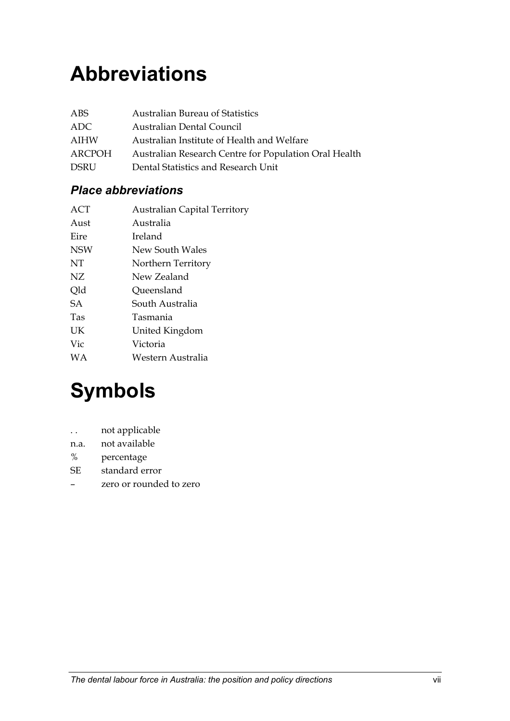# <span id="page-7-0"></span>**Abbreviations**

| ABS    | <b>Australian Bureau of Statistics</b>                |
|--------|-------------------------------------------------------|
| ADC.   | Australian Dental Council                             |
| AIHW   | Australian Institute of Health and Welfare            |
| ARCPOH | Australian Research Centre for Population Oral Health |
| DSRU   | Dental Statistics and Research Unit                   |

### *Place abbreviations*

| ACT        | <b>Australian Capital Territory</b> |
|------------|-------------------------------------|
| Aust       | Australia                           |
| Eire       | Ireland                             |
| <b>NSW</b> | New South Wales                     |
| NT         | Northern Territory                  |
| NZ.        | New Zealand                         |
| Old        | Queensland                          |
| <b>SA</b>  | South Australia                     |
| Tas        | Tasmania                            |
| UK         | United Kingdom                      |
| Vic        | Victoria                            |
| WА         | Western Australia                   |
|            |                                     |

# **Symbols**

- . . not applicable
- n.a. not available
- % percentage
- SE standard error
- zero or rounded to zero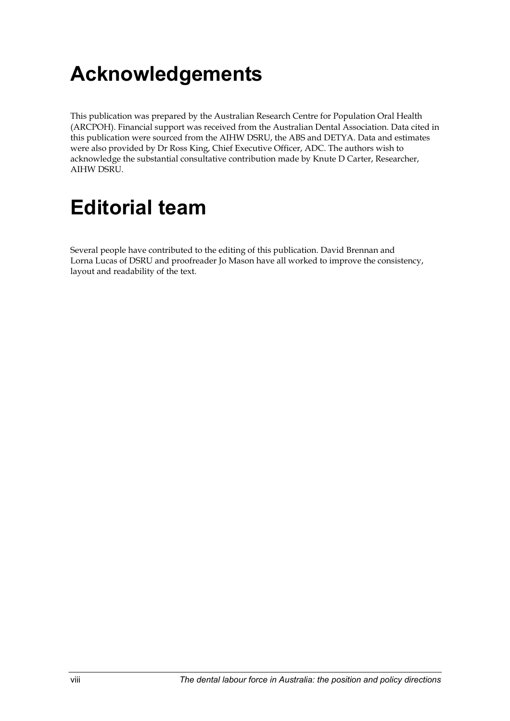# <span id="page-8-0"></span>**Acknowledgements**

This publication was prepared by the Australian Research Centre for Population Oral Health (ARCPOH). Financial support was received from the Australian Dental Association. Data cited in this publication were sourced from the AIHW DSRU, the ABS and DETYA. Data and estimates were also provided by Dr Ross King, Chief Executive Officer, ADC. The authors wish to acknowledge the substantial consultative contribution made by Knute D Carter, Researcher, AIHW DSRU.

# **Editorial team**

Several people have contributed to the editing of this publication. David Brennan and Lorna Lucas of DSRU and proofreader Jo Mason have all worked to improve the consistency, layout and readability of the text.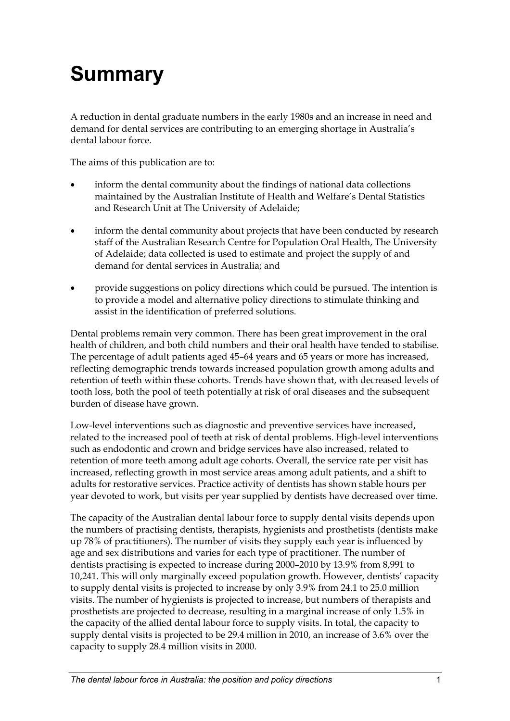# <span id="page-9-0"></span>**Summary**

A reduction in dental graduate numbers in the early 1980s and an increase in need and demand for dental services are contributing to an emerging shortage in Australia's dental labour force.

The aims of this publication are to:

- inform the dental community about the findings of national data collections maintained by the Australian Institute of Health and Welfare's Dental Statistics and Research Unit at The University of Adelaide;
- inform the dental community about projects that have been conducted by research staff of the Australian Research Centre for Population Oral Health, The University of Adelaide; data collected is used to estimate and project the supply of and demand for dental services in Australia; and
- provide suggestions on policy directions which could be pursued. The intention is to provide a model and alternative policy directions to stimulate thinking and assist in the identification of preferred solutions.

Dental problems remain very common. There has been great improvement in the oral health of children, and both child numbers and their oral health have tended to stabilise. The percentage of adult patients aged 45–64 years and 65 years or more has increased, reflecting demographic trends towards increased population growth among adults and retention of teeth within these cohorts. Trends have shown that, with decreased levels of tooth loss, both the pool of teeth potentially at risk of oral diseases and the subsequent burden of disease have grown.

Low-level interventions such as diagnostic and preventive services have increased, related to the increased pool of teeth at risk of dental problems. High-level interventions such as endodontic and crown and bridge services have also increased, related to retention of more teeth among adult age cohorts. Overall, the service rate per visit has increased, reflecting growth in most service areas among adult patients, and a shift to adults for restorative services. Practice activity of dentists has shown stable hours per year devoted to work, but visits per year supplied by dentists have decreased over time.

The capacity of the Australian dental labour force to supply dental visits depends upon the numbers of practising dentists, therapists, hygienists and prosthetists (dentists make up 78% of practitioners). The number of visits they supply each year is influenced by age and sex distributions and varies for each type of practitioner. The number of dentists practising is expected to increase during 2000–2010 by 13.9% from 8,991 to 10,241. This will only marginally exceed population growth. However, dentists' capacity to supply dental visits is projected to increase by only 3.9% from 24.1 to 25.0 million visits. The number of hygienists is projected to increase, but numbers of therapists and prosthetists are projected to decrease, resulting in a marginal increase of only 1.5% in the capacity of the allied dental labour force to supply visits. In total, the capacity to supply dental visits is projected to be 29.4 million in 2010, an increase of 3.6% over the capacity to supply 28.4 million visits in 2000.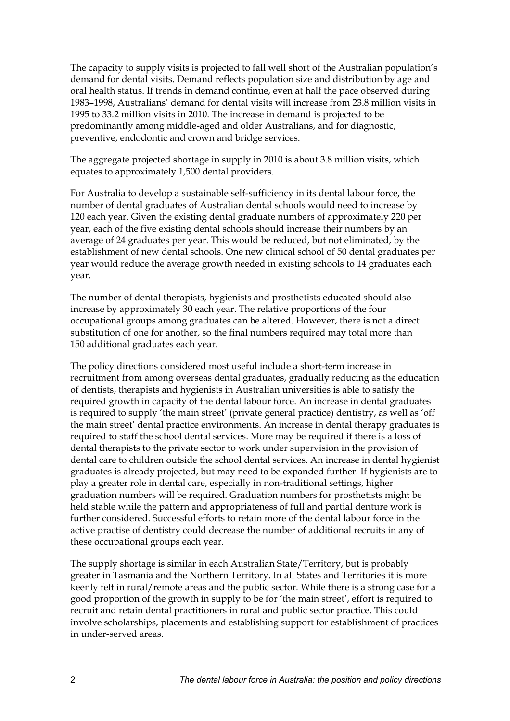The capacity to supply visits is projected to fall well short of the Australian population's demand for dental visits. Demand reflects population size and distribution by age and oral health status. If trends in demand continue, even at half the pace observed during 1983–1998, Australians' demand for dental visits will increase from 23.8 million visits in 1995 to 33.2 million visits in 2010. The increase in demand is projected to be predominantly among middle-aged and older Australians, and for diagnostic, preventive, endodontic and crown and bridge services.

The aggregate projected shortage in supply in 2010 is about 3.8 million visits, which equates to approximately 1,500 dental providers.

For Australia to develop a sustainable self-sufficiency in its dental labour force, the number of dental graduates of Australian dental schools would need to increase by 120 each year. Given the existing dental graduate numbers of approximately 220 per year, each of the five existing dental schools should increase their numbers by an average of 24 graduates per year. This would be reduced, but not eliminated, by the establishment of new dental schools. One new clinical school of 50 dental graduates per year would reduce the average growth needed in existing schools to 14 graduates each year.

The number of dental therapists, hygienists and prosthetists educated should also increase by approximately 30 each year. The relative proportions of the four occupational groups among graduates can be altered. However, there is not a direct substitution of one for another, so the final numbers required may total more than 150 additional graduates each year.

The policy directions considered most useful include a short-term increase in recruitment from among overseas dental graduates, gradually reducing as the education of dentists, therapists and hygienists in Australian universities is able to satisfy the required growth in capacity of the dental labour force. An increase in dental graduates is required to supply 'the main street' (private general practice) dentistry, as well as 'off the main street' dental practice environments. An increase in dental therapy graduates is required to staff the school dental services. More may be required if there is a loss of dental therapists to the private sector to work under supervision in the provision of dental care to children outside the school dental services. An increase in dental hygienist graduates is already projected, but may need to be expanded further. If hygienists are to play a greater role in dental care, especially in non-traditional settings, higher graduation numbers will be required. Graduation numbers for prosthetists might be held stable while the pattern and appropriateness of full and partial denture work is further considered. Successful efforts to retain more of the dental labour force in the active practise of dentistry could decrease the number of additional recruits in any of these occupational groups each year.

The supply shortage is similar in each Australian State/Territory, but is probably greater in Tasmania and the Northern Territory. In all States and Territories it is more keenly felt in rural/remote areas and the public sector. While there is a strong case for a good proportion of the growth in supply to be for 'the main street', effort is required to recruit and retain dental practitioners in rural and public sector practice. This could involve scholarships, placements and establishing support for establishment of practices in under-served areas.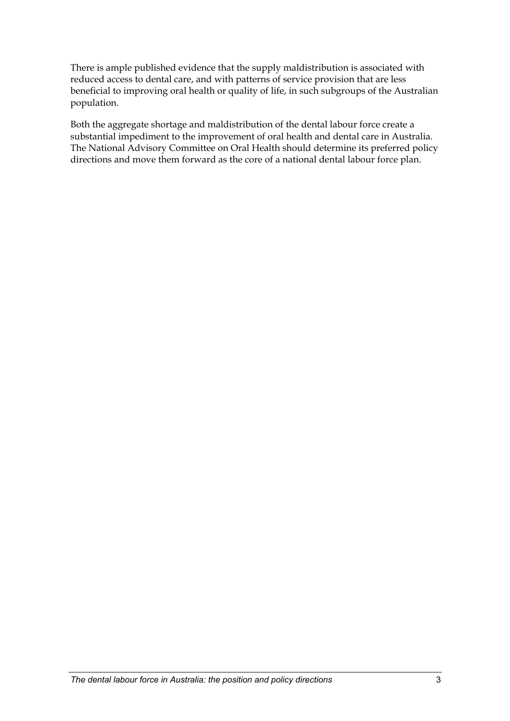There is ample published evidence that the supply maldistribution is associated with reduced access to dental care, and with patterns of service provision that are less beneficial to improving oral health or quality of life, in such subgroups of the Australian population.

Both the aggregate shortage and maldistribution of the dental labour force create a substantial impediment to the improvement of oral health and dental care in Australia. The National Advisory Committee on Oral Health should determine its preferred policy directions and move them forward as the core of a national dental labour force plan.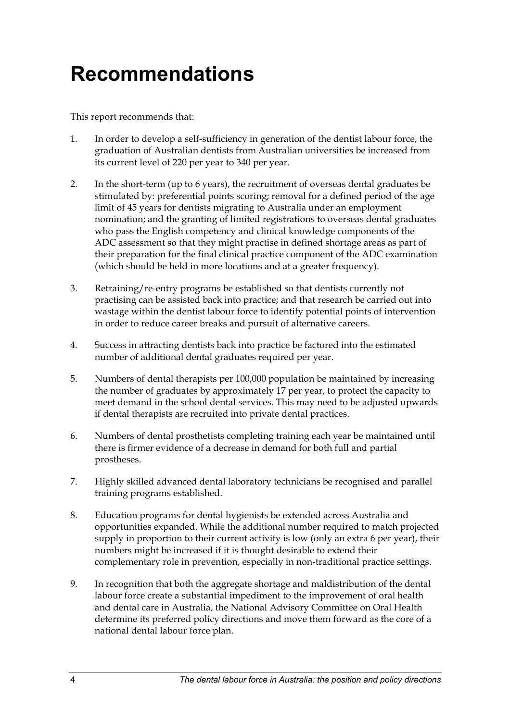# <span id="page-12-0"></span>**Recommendations**

This report recommends that:

- 1. In order to develop a self-sufficiency in generation of the dentist labour force, the graduation of Australian dentists from Australian universities be increased from its current level of 220 per year to 340 per year.
- 2. In the short-term (up to 6 years), the recruitment of overseas dental graduates be stimulated by: preferential points scoring; removal for a defined period of the age limit of 45 years for dentists migrating to Australia under an employment nomination; and the granting of limited registrations to overseas dental graduates who pass the English competency and clinical knowledge components of the ADC assessment so that they might practise in defined shortage areas as part of their preparation for the final clinical practice component of the ADC examination (which should be held in more locations and at a greater frequency).
- 3. Retraining/re-entry programs be established so that dentists currently not practising can be assisted back into practice; and that research be carried out into wastage within the dentist labour force to identify potential points of intervention in order to reduce career breaks and pursuit of alternative careers.
- 4. Success in attracting dentists back into practice be factored into the estimated number of additional dental graduates required per year.
- 5. Numbers of dental therapists per 100,000 population be maintained by increasing the number of graduates by approximately 17 per year, to protect the capacity to meet demand in the school dental services. This may need to be adjusted upwards if dental therapists are recruited into private dental practices.
- 6. Numbers of dental prosthetists completing training each year be maintained until there is firmer evidence of a decrease in demand for both full and partial prostheses.
- 7. Highly skilled advanced dental laboratory technicians be recognised and parallel training programs established.
- 8. Education programs for dental hygienists be extended across Australia and opportunities expanded. While the additional number required to match projected supply in proportion to their current activity is low (only an extra 6 per year), their numbers might be increased if it is thought desirable to extend their complementary role in prevention, especially in non-traditional practice settings.
- 9. In recognition that both the aggregate shortage and maldistribution of the dental labour force create a substantial impediment to the improvement of oral health and dental care in Australia, the National Advisory Committee on Oral Health determine its preferred policy directions and move them forward as the core of a national dental labour force plan.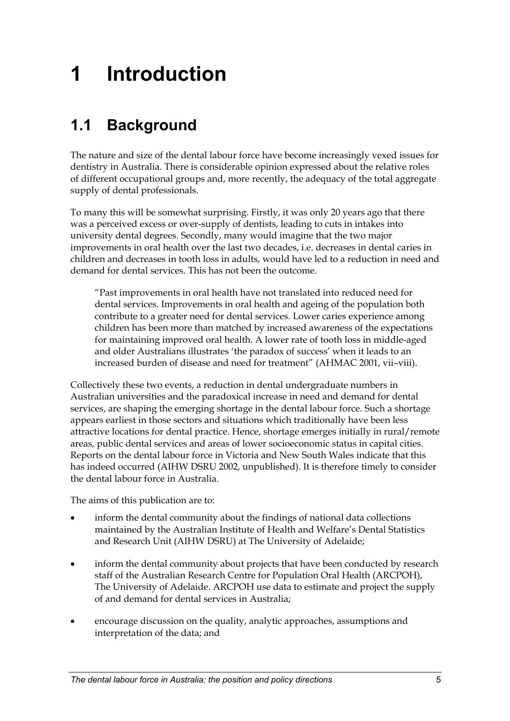# <span id="page-13-0"></span>**1 Introduction**

# **1.1 Background**

The nature and size of the dental labour force have become increasingly vexed issues for dentistry in Australia. There is considerable opinion expressed about the relative roles of different occupational groups and, more recently, the adequacy of the total aggregate supply of dental professionals.

To many this will be somewhat surprising. Firstly, it was only 20 years ago that there was a perceived excess or over-supply of dentists, leading to cuts in intakes into university dental degrees. Secondly, many would imagine that the two major improvements in oral health over the last two decades, i.e. decreases in dental caries in children and decreases in tooth loss in adults, would have led to a reduction in need and demand for dental services. This has not been the outcome.

"Past improvements in oral health have not translated into reduced need for dental services. Improvements in oral health and ageing of the population both contribute to a greater need for dental services. Lower caries experience among children has been more than matched by increased awareness of the expectations for maintaining improved oral health. A lower rate of tooth loss in middle-aged and older Australians illustrates 'the paradox of success' when it leads to an increased burden of disease and need for treatment" (AHMAC 2001, vii–viii).

Collectively these two events, a reduction in dental undergraduate numbers in Australian universities and the paradoxical increase in need and demand for dental services, are shaping the emerging shortage in the dental labour force. Such a shortage appears earliest in those sectors and situations which traditionally have been less attractive locations for dental practice. Hence, shortage emerges initially in rural/remote areas, public dental services and areas of lower socioeconomic status in capital cities. Reports on the dental labour force in Victoria and New South Wales indicate that this has indeed occurred (AIHW DSRU 2002, unpublished). It is therefore timely to consider the dental labour force in Australia.

The aims of this publication are to:

- inform the dental community about the findings of national data collections maintained by the Australian Institute of Health and Welfare's Dental Statistics and Research Unit (AIHW DSRU) at The University of Adelaide;
- inform the dental community about projects that have been conducted by research staff of the Australian Research Centre for Population Oral Health (ARCPOH), The University of Adelaide. ARCPOH use data to estimate and project the supply of and demand for dental services in Australia;
- encourage discussion on the quality, analytic approaches, assumptions and interpretation of the data; and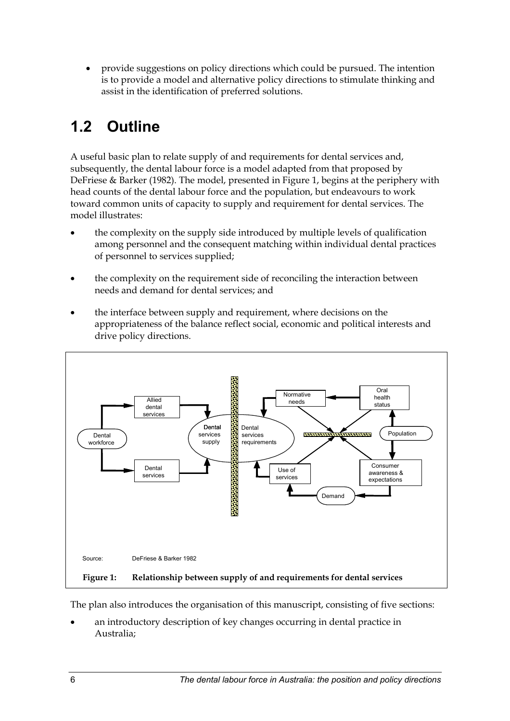<span id="page-14-0"></span>• provide suggestions on policy directions which could be pursued. The intention is to provide a model and alternative policy directions to stimulate thinking and assist in the identification of preferred solutions.

# **1.2 Outline**

A useful basic plan to relate supply of and requirements for dental services and, subsequently, the dental labour force is a model adapted from that proposed by DeFriese & Barker (1982). The model, presented in Figure 1, begins at the periphery with head counts of the dental labour force and the population, but endeavours to work toward common units of capacity to supply and requirement for dental services. The model illustrates:

- the complexity on the supply side introduced by multiple levels of qualification among personnel and the consequent matching within individual dental practices of personnel to services supplied;
- the complexity on the requirement side of reconciling the interaction between needs and demand for dental services; and
- the interface between supply and requirement, where decisions on the appropriateness of the balance reflect social, economic and political interests and drive policy directions.



The plan also introduces the organisation of this manuscript, consisting of five sections:

• an introductory description of key changes occurring in dental practice in Australia;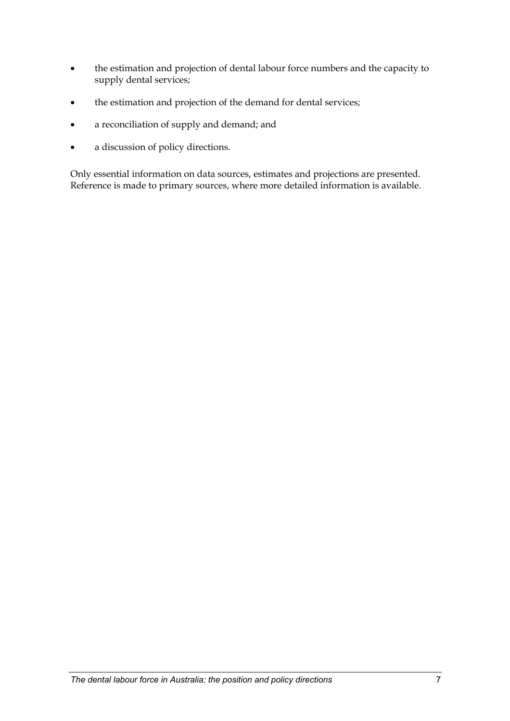- the estimation and projection of dental labour force numbers and the capacity to supply dental services;
- the estimation and projection of the demand for dental services;
- a reconciliation of supply and demand; and
- a discussion of policy directions.

Only essential information on data sources, estimates and projections are presented. Reference is made to primary sources, where more detailed information is available.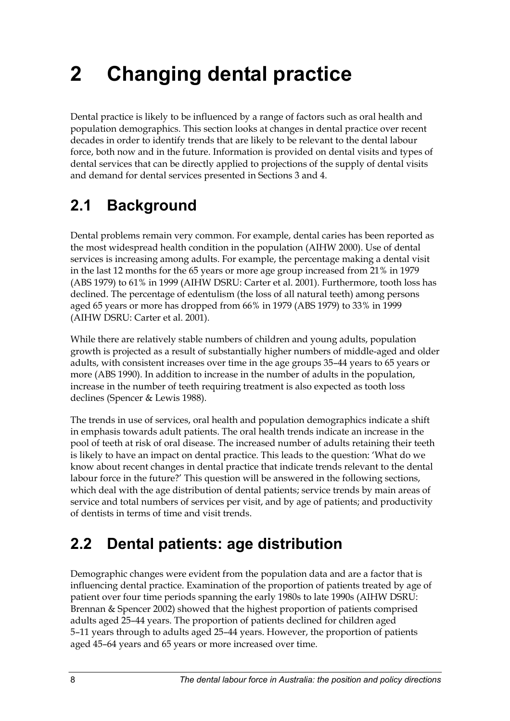# <span id="page-16-0"></span>**2 Changing dental practice**

Dental practice is likely to be influenced by a range of factors such as oral health and population demographics. This section looks at changes in dental practice over recent decades in order to identify trends that are likely to be relevant to the dental labour force, both now and in the future. Information is provided on dental visits and types of dental services that can be directly applied to projections of the supply of dental visits and demand for dental services presented in Sections 3 and 4.

# **2.1 Background**

Dental problems remain very common. For example, dental caries has been reported as the most widespread health condition in the population (AIHW 2000). Use of dental services is increasing among adults. For example, the percentage making a dental visit in the last 12 months for the 65 years or more age group increased from 21% in 1979 (ABS 1979) to 61% in 1999 (AIHW DSRU: Carter et al. 2001). Furthermore, tooth loss has declined. The percentage of edentulism (the loss of all natural teeth) among persons aged 65 years or more has dropped from 66% in 1979 (ABS 1979) to 33% in 1999 (AIHW DSRU: Carter et al. 2001).

While there are relatively stable numbers of children and young adults, population growth is projected as a result of substantially higher numbers of middle-aged and older adults, with consistent increases over time in the age groups 35–44 years to 65 years or more (ABS 1990). In addition to increase in the number of adults in the population, increase in the number of teeth requiring treatment is also expected as tooth loss declines (Spencer & Lewis 1988).

The trends in use of services, oral health and population demographics indicate a shift in emphasis towards adult patients. The oral health trends indicate an increase in the pool of teeth at risk of oral disease. The increased number of adults retaining their teeth is likely to have an impact on dental practice. This leads to the question: 'What do we know about recent changes in dental practice that indicate trends relevant to the dental labour force in the future?' This question will be answered in the following sections, which deal with the age distribution of dental patients; service trends by main areas of service and total numbers of services per visit, and by age of patients; and productivity of dentists in terms of time and visit trends.

# **2.2 Dental patients: age distribution**

Demographic changes were evident from the population data and are a factor that is influencing dental practice. Examination of the proportion of patients treated by age of patient over four time periods spanning the early 1980s to late 1990s (AIHW DSRU: Brennan & Spencer 2002) showed that the highest proportion of patients comprised adults aged 25–44 years. The proportion of patients declined for children aged 5–11 years through to adults aged 25–44 years. However, the proportion of patients aged 45–64 years and 65 years or more increased over time.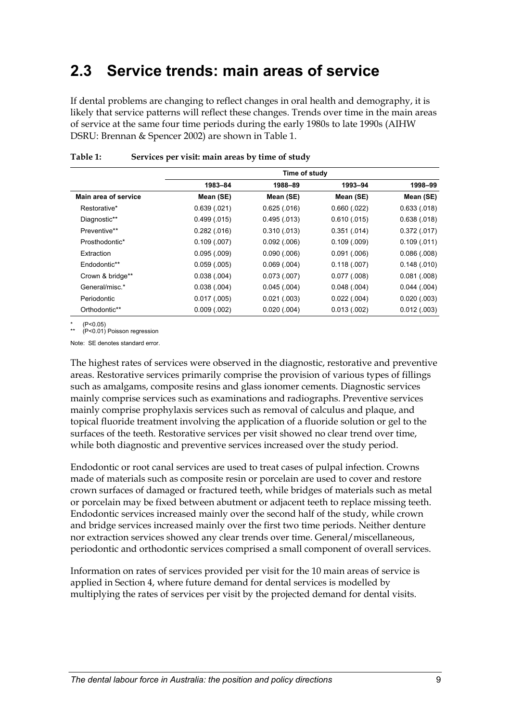## <span id="page-17-0"></span>**2.3 Service trends: main areas of service**

If dental problems are changing to reflect changes in oral health and demography, it is likely that service patterns will reflect these changes. Trends over time in the main areas of service at the same four time periods during the early 1980s to late 1990s (AIHW DSRU: Brennan & Spencer 2002) are shown in [Table 1.](#page-17-1)

|                      |              | Time of study |              |             |
|----------------------|--------------|---------------|--------------|-------------|
|                      | 1983-84      | 1988-89       | 1993-94      | 1998–99     |
| Main area of service | Mean (SE)    | Mean (SE)     | Mean (SE)    | Mean (SE)   |
| Restorative*         | 0.639(.021)  | 0.625(.016)   | 0.660(.022)  | 0.633(.018) |
| Diagnostic**         | 0.499(0.015) | 0.495(.013)   | 0.610(0.015) | 0.638(.018) |
| Preventive**         | 0.282(.016)  | 0.310(0.013)  | 0.351(014)   | 0.372(.017) |
| Prosthodontic*       | 0.109(.007)  | 0.092(.006)   | 0.109(0.009) | 0.109(.011) |
| Extraction           | 0.095(.009)  | 0.090(.006)   | 0.091(.006)  | 0.086(.008) |
| Endodontic**         | 0.059(.005)  | 0.069(.004)   | 0.118(.007)  | 0.148(.010) |
| Crown & bridge**     | 0.038(.004)  | 0.073(0.007)  | 0.077(0.08)  | 0.081(.008) |
| General/misc.*       | 0.038(.004)  | 0.045(.004)   | 0.048(.004)  | 0.044(.004) |
| Periodontic          | 0.017(.005)  | 0.021(.003)   | 0.022(.004)  | 0.020(.003) |
| Orthodontic**        | 0.009(.002)  | 0.020(.004)   | 0.013(0.002) | 0.012(.003) |

#### <span id="page-17-1"></span>**Table 1: Services per visit: main areas by time of study**

\* (P<0.05)

\*\* (P<0.01) Poisson regression

Note: SE denotes standard error.

The highest rates of services were observed in the diagnostic, restorative and preventive areas. Restorative services primarily comprise the provision of various types of fillings such as amalgams, composite resins and glass ionomer cements. Diagnostic services mainly comprise services such as examinations and radiographs. Preventive services mainly comprise prophylaxis services such as removal of calculus and plaque, and topical fluoride treatment involving the application of a fluoride solution or gel to the surfaces of the teeth. Restorative services per visit showed no clear trend over time, while both diagnostic and preventive services increased over the study period.

Endodontic or root canal services are used to treat cases of pulpal infection. Crowns made of materials such as composite resin or porcelain are used to cover and restore crown surfaces of damaged or fractured teeth, while bridges of materials such as metal or porcelain may be fixed between abutment or adjacent teeth to replace missing teeth. Endodontic services increased mainly over the second half of the study, while crown and bridge services increased mainly over the first two time periods. Neither denture nor extraction services showed any clear trends over time. General/miscellaneous, periodontic and orthodontic services comprised a small component of overall services.

Information on rates of services provided per visit for the 10 main areas of service is applied in Section 4, where future demand for dental services is modelled by multiplying the rates of services per visit by the projected demand for dental visits.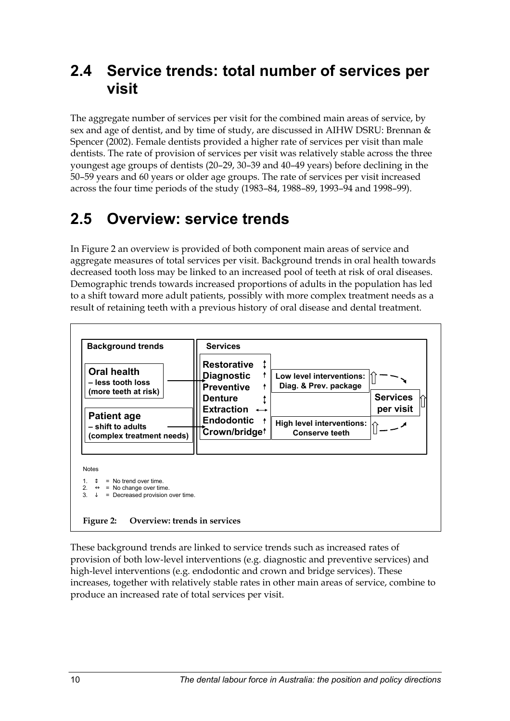## <span id="page-18-0"></span>**2.4 Service trends: total number of services per visit**

The aggregate number of services per visit for the combined main areas of service, by sex and age of dentist, and by time of study, are discussed in AIHW DSRU: Brennan & Spencer (2002). Female dentists provided a higher rate of services per visit than male dentists. The rate of provision of services per visit was relatively stable across the three youngest age groups of dentists (20–29, 30–39 and 40–49 years) before declining in the 50–59 years and 60 years or older age groups. The rate of services per visit increased across the four time periods of the study (1983–84, 1988–89, 1993–94 and 1998–99).

## **2.5 Overview: service trends**

In [Figure 2](#page-18-1) an overview is provided of both component main areas of service and aggregate measures of total services per visit. Background trends in oral health towards decreased tooth loss may be linked to an increased pool of teeth at risk of oral diseases. Demographic trends towards increased proportions of adults in the population has led to a shift toward more adult patients, possibly with more complex treatment needs as a result of retaining teeth with a previous history of oral disease and dental treatment.



<span id="page-18-1"></span>These background trends are linked to service trends such as increased rates of provision of both low-level interventions (e.g. diagnostic and preventive services) and high-level interventions (e.g. endodontic and crown and bridge services). These increases, together with relatively stable rates in other main areas of service, combine to produce an increased rate of total services per visit.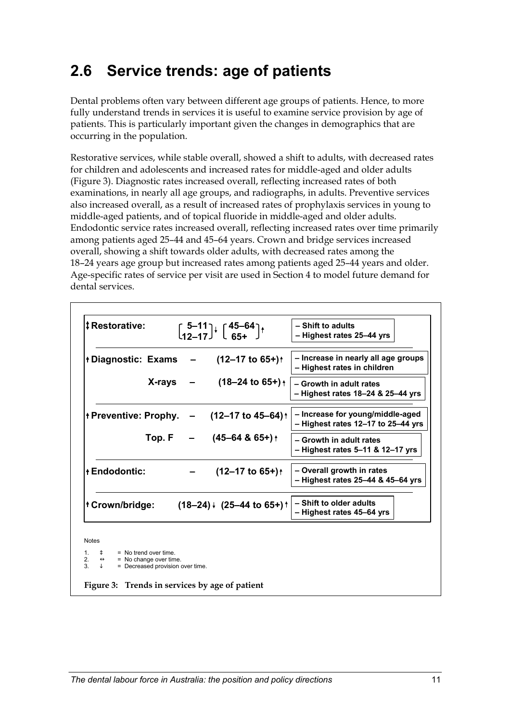## <span id="page-19-0"></span>**2.6 Service trends: age of patients**

Dental problems often vary between different age groups of patients. Hence, to more fully understand trends in services it is useful to examine service provision by age of patients. This is particularly important given the changes in demographics that are occurring in the population.

Restorative services, while stable overall, showed a shift to adults, with decreased rates for children and adolescents and increased rates for middle-aged and older adults ([Figure 3\)](#page-19-1). Diagnostic rates increased overall, reflecting increased rates of both examinations, in nearly all age groups, and radiographs, in adults. Preventive services also increased overall, as a result of increased rates of prophylaxis services in young to middle-aged patients, and of topical fluoride in middle-aged and older adults. Endodontic service rates increased overall, reflecting increased rates over time primarily among patients aged 25–44 and 45–64 years. Crown and bridge services increased overall, showing a shift towards older adults, with decreased rates among the 18–24 years age group but increased rates among patients aged 25–44 years and older. Age-specific rates of service per visit are used in Section 4 to model future demand for dental services.

| <b>‡Restorative:</b>                                                 | $\begin{bmatrix} 5-11 \\ 12-17 \end{bmatrix}$ $\begin{bmatrix} 45-64 \\ 65+ \end{bmatrix}$ $\uparrow$ | - Shift to adults<br>- Highest rates 25-44 yrs                         |
|----------------------------------------------------------------------|-------------------------------------------------------------------------------------------------------|------------------------------------------------------------------------|
| $\dagger$ Diagnostic: Exams $-$ (12-17 to 65+) $\dagger$             |                                                                                                       | - Increase in nearly all age groups<br>- Highest rates in children     |
|                                                                      | $X-rays = (18-24 to 65+)$                                                                             | - Growth in adult rates<br>- Highest rates 18-24 & 25-44 yrs           |
| $+$ Preventive: Prophy. $-$ (12-17 to 45-64) $+$                     |                                                                                                       | - Increase for young/middle-aged<br>- Highest rates 12-17 to 25-44 yrs |
|                                                                      | Top. F $-$ (45-64 & 65+) +                                                                            | - Growth in adult rates<br>- Highest rates 5-11 & 12-17 yrs            |
| <b>+Endodontic:</b>                                                  | $(12 - 17 \text{ to } 65+)$                                                                           | - Overall growth in rates<br>- Highest rates 25-44 & 45-64 yrs         |
| $\text{t}$ Crown/bridge: $(18-24)$ $\cdot$ $(25-44 \text{ to } 65+)$ |                                                                                                       | - Shift to older adults<br>- Highest rates 45-64 yrs                   |

2.  $\leftrightarrow$  = No change over time.<br>3.  $\downarrow$  = Decreased provision

= Decreased provision over time.

<span id="page-19-1"></span>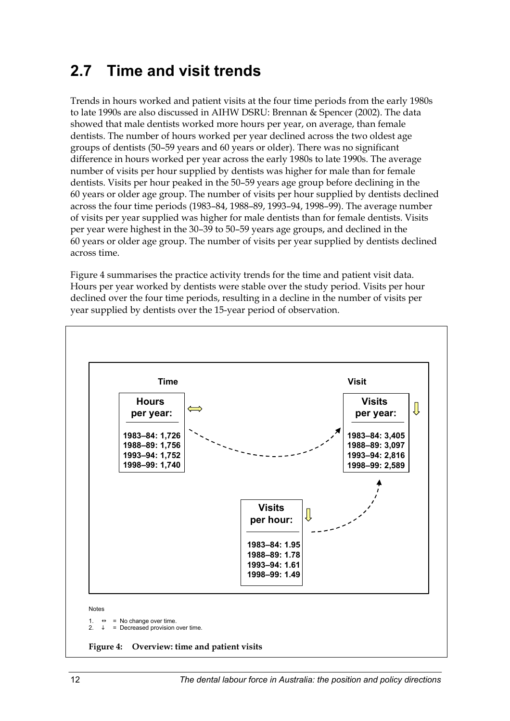## <span id="page-20-0"></span>**2.7 Time and visit trends**

Trends in hours worked and patient visits at the four time periods from the early 1980s to late 1990s are also discussed in AIHW DSRU: Brennan & Spencer (2002). The data showed that male dentists worked more hours per year, on average, than female dentists. The number of hours worked per year declined across the two oldest age groups of dentists (50–59 years and 60 years or older). There was no significant difference in hours worked per year across the early 1980s to late 1990s. The average number of visits per hour supplied by dentists was higher for male than for female dentists. Visits per hour peaked in the 50–59 years age group before declining in the 60 years or older age group. The number of visits per hour supplied by dentists declined across the four time periods (1983–84, 1988–89, 1993–94, 1998–99). The average number of visits per year supplied was higher for male dentists than for female dentists. Visits per year were highest in the 30–39 to 50–59 years age groups, and declined in the 60 years or older age group. The number of visits per year supplied by dentists declined across time.

[Figure 4](#page-20-1) summarises the practice activity trends for the time and patient visit data. Hours per year worked by dentists were stable over the study period. Visits per hour declined over the four time periods, resulting in a decline in the number of visits per year supplied by dentists over the 15-year period of observation.

<span id="page-20-1"></span>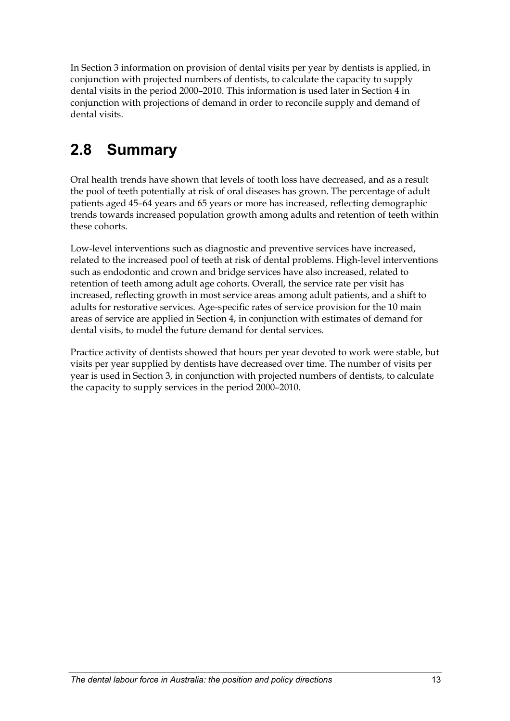<span id="page-21-0"></span>In Section 3 information on provision of dental visits per year by dentists is applied, in conjunction with projected numbers of dentists, to calculate the capacity to supply dental visits in the period 2000–2010. This information is used later in Section 4 in conjunction with projections of demand in order to reconcile supply and demand of dental visits.

# **2.8 Summary**

Oral health trends have shown that levels of tooth loss have decreased, and as a result the pool of teeth potentially at risk of oral diseases has grown. The percentage of adult patients aged 45–64 years and 65 years or more has increased, reflecting demographic trends towards increased population growth among adults and retention of teeth within these cohorts.

Low-level interventions such as diagnostic and preventive services have increased, related to the increased pool of teeth at risk of dental problems. High-level interventions such as endodontic and crown and bridge services have also increased, related to retention of teeth among adult age cohorts. Overall, the service rate per visit has increased, reflecting growth in most service areas among adult patients, and a shift to adults for restorative services. Age-specific rates of service provision for the 10 main areas of service are applied in Section 4, in conjunction with estimates of demand for dental visits, to model the future demand for dental services.

Practice activity of dentists showed that hours per year devoted to work were stable, but visits per year supplied by dentists have decreased over time. The number of visits per year is used in Section 3, in conjunction with projected numbers of dentists, to calculate the capacity to supply services in the period 2000–2010.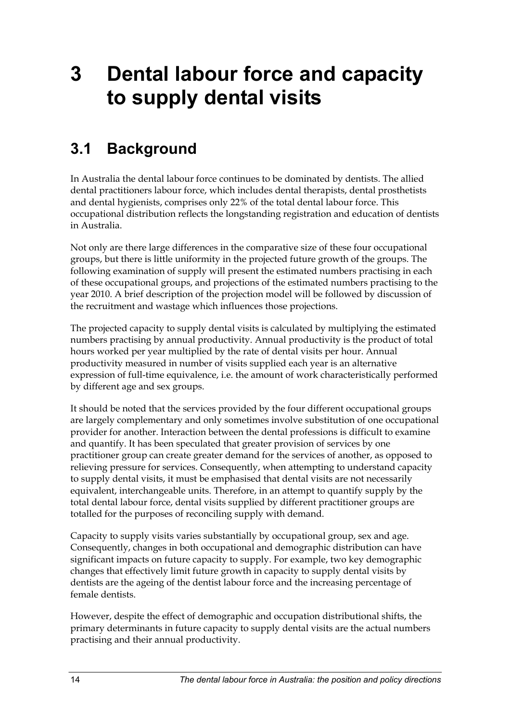# <span id="page-22-0"></span>**3 Dental labour force and capacity to supply dental visits**

## **3.1 Background**

In Australia the dental labour force continues to be dominated by dentists. The allied dental practitioners labour force, which includes dental therapists, dental prosthetists and dental hygienists, comprises only 22% of the total dental labour force. This occupational distribution reflects the longstanding registration and education of dentists in Australia.

Not only are there large differences in the comparative size of these four occupational groups, but there is little uniformity in the projected future growth of the groups. The following examination of supply will present the estimated numbers practising in each of these occupational groups, and projections of the estimated numbers practising to the year 2010. A brief description of the projection model will be followed by discussion of the recruitment and wastage which influences those projections.

The projected capacity to supply dental visits is calculated by multiplying the estimated numbers practising by annual productivity. Annual productivity is the product of total hours worked per year multiplied by the rate of dental visits per hour. Annual productivity measured in number of visits supplied each year is an alternative expression of full-time equivalence, i.e. the amount of work characteristically performed by different age and sex groups.

It should be noted that the services provided by the four different occupational groups are largely complementary and only sometimes involve substitution of one occupational provider for another. Interaction between the dental professions is difficult to examine and quantify. It has been speculated that greater provision of services by one practitioner group can create greater demand for the services of another, as opposed to relieving pressure for services. Consequently, when attempting to understand capacity to supply dental visits, it must be emphasised that dental visits are not necessarily equivalent, interchangeable units. Therefore, in an attempt to quantify supply by the total dental labour force, dental visits supplied by different practitioner groups are totalled for the purposes of reconciling supply with demand.

Capacity to supply visits varies substantially by occupational group, sex and age. Consequently, changes in both occupational and demographic distribution can have significant impacts on future capacity to supply. For example, two key demographic changes that effectively limit future growth in capacity to supply dental visits by dentists are the ageing of the dentist labour force and the increasing percentage of female dentists.

However, despite the effect of demographic and occupation distributional shifts, the primary determinants in future capacity to supply dental visits are the actual numbers practising and their annual productivity.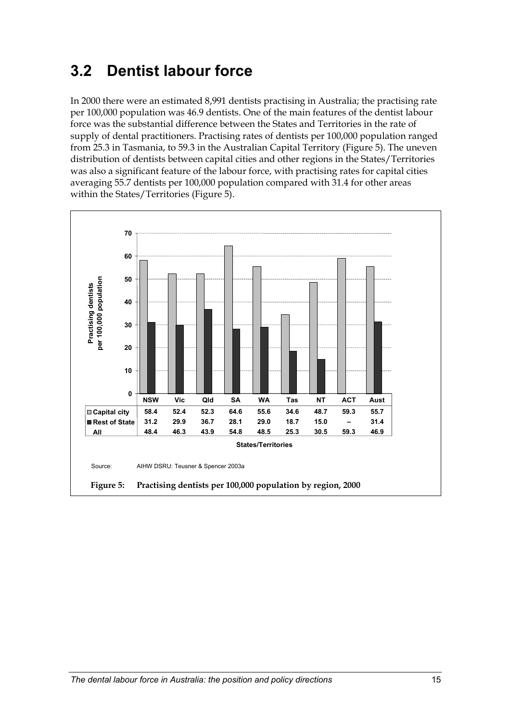# <span id="page-23-0"></span>**3.2 Dentist labour force**

In 2000 there were an estimated 8,991 dentists practising in Australia; the practising rate per 100,000 population was 46.9 dentists. One of the main features of the dentist labour force was the substantial difference between the States and Territories in the rate of supply of dental practitioners. Practising rates of dentists per 100,000 population ranged from 25.3 in Tasmania, to 59.3 in the Australian Capital Territory [\(Figure 5\)](#page-23-1). The uneven distribution of dentists between capital cities and other regions in the States/Territories was also a significant feature of the labour force, with practising rates for capital cities averaging 55.7 dentists per 100,000 population compared with 31.4 for other areas within the States/Territories [\(Figure 5\)](#page-23-1).

<span id="page-23-1"></span>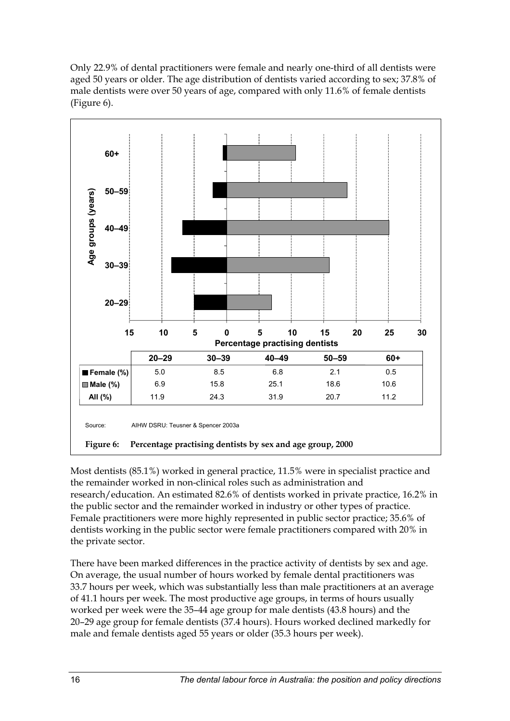<span id="page-24-0"></span>Only 22.9% of dental practitioners were female and nearly one-third of all dentists were aged 50 years or older. The age distribution of dentists varied according to sex; 37.8% of male dentists were over 50 years of age, compared with only 11.6% of female dentists ([Figure 6\)](#page-24-1).



<span id="page-24-1"></span>Most dentists (85.1%) worked in general practice, 11.5% were in specialist practice and the remainder worked in non-clinical roles such as administration and research/education. An estimated 82.6% of dentists worked in private practice, 16.2% in the public sector and the remainder worked in industry or other types of practice. Female practitioners were more highly represented in public sector practice; 35.6% of dentists working in the public sector were female practitioners compared with 20% in the private sector.

There have been marked differences in the practice activity of dentists by sex and age. On average, the usual number of hours worked by female dental practitioners was 33.7 hours per week, which was substantially less than male practitioners at an average of 41.1 hours per week. The most productive age groups, in terms of hours usually worked per week were the 35–44 age group for male dentists (43.8 hours) and the 20–29 age group for female dentists (37.4 hours). Hours worked declined markedly for male and female dentists aged 55 years or older (35.3 hours per week).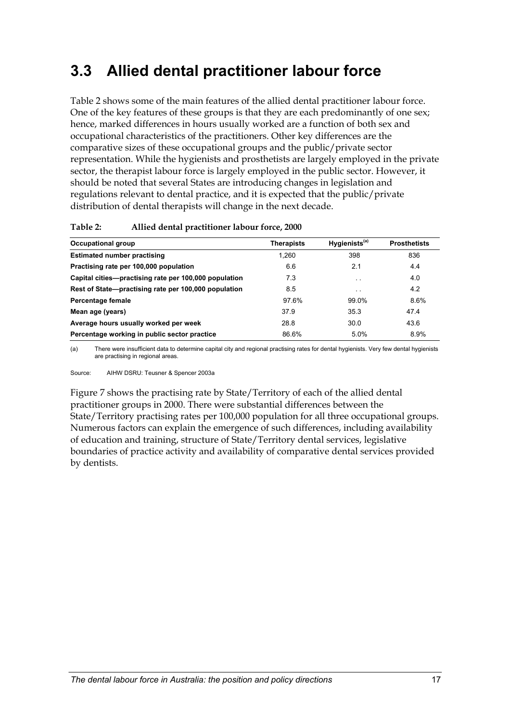## <span id="page-25-0"></span>**3.3 Allied dental practitioner labour force**

[Table 2](#page-25-1) shows some of the main features of the allied dental practitioner labour force. One of the key features of these groups is that they are each predominantly of one sex; hence, marked differences in hours usually worked are a function of both sex and occupational characteristics of the practitioners. Other key differences are the comparative sizes of these occupational groups and the public/private sector representation. While the hygienists and prosthetists are largely employed in the private sector, the therapist labour force is largely employed in the public sector. However, it should be noted that several States are introducing changes in legislation and regulations relevant to dental practice, and it is expected that the public/private distribution of dental therapists will change in the next decade.

| <b>Occupational group</b>                             | <b>Therapists</b> | Hygienists <sup>(a)</sup> | <b>Prosthetists</b> |
|-------------------------------------------------------|-------------------|---------------------------|---------------------|
| <b>Estimated number practising</b>                    | 1.260             | 398                       | 836                 |
| Practising rate per 100,000 population                | 6.6               | 2.1                       | 4.4                 |
| Capital cities—practising rate per 100,000 population | 7.3               | $\ddot{\phantom{0}}$      | 4.0                 |
| Rest of State-practising rate per 100,000 population  | 8.5               | $\cdot$ .                 | 4.2                 |
| Percentage female                                     | 97.6%             | 99.0%                     | 8.6%                |
| Mean age (years)                                      | 37.9              | 35.3                      | 47.4                |
| Average hours usually worked per week                 | 28.8              | 30.0                      | 43.6                |
| Percentage working in public sector practice          | 86.6%             | 5.0%                      | 8.9%                |

#### <span id="page-25-1"></span>**Table 2: Allied dental practitioner labour force, 2000**

(a) There were insufficient data to determine capital city and regional practising rates for dental hygienists. Very few dental hygienists are practising in regional areas.

Source: AIHW DSRU: Teusner & Spencer 2003a

[Figure 7](#page-26-1) shows the practising rate by State/Territory of each of the allied dental practitioner groups in 2000. There were substantial differences between the State/Territory practising rates per 100,000 population for all three occupational groups. Numerous factors can explain the emergence of such differences, including availability of education and training, structure of State/Territory dental services, legislative boundaries of practice activity and availability of comparative dental services provided by dentists.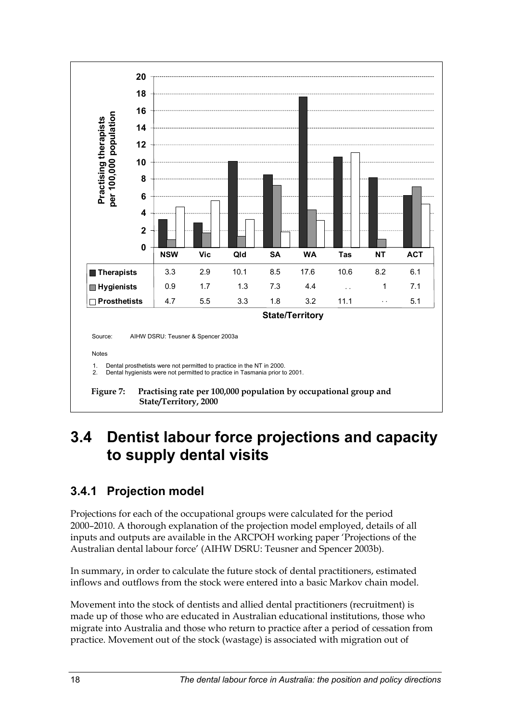<span id="page-26-0"></span>

## <span id="page-26-1"></span>**3.4 Dentist labour force projections and capacity to supply dental visits**

### **3.4.1 Projection model**

Projections for each of the occupational groups were calculated for the period 2000–2010. A thorough explanation of the projection model employed, details of all inputs and outputs are available in the ARCPOH working paper 'Projections of the Australian dental labour force' (AIHW DSRU: Teusner and Spencer 2003b).

In summary, in order to calculate the future stock of dental practitioners, estimated inflows and outflows from the stock were entered into a basic Markov chain model.

Movement into the stock of dentists and allied dental practitioners (recruitment) is made up of those who are educated in Australian educational institutions, those who migrate into Australia and those who return to practice after a period of cessation from practice. Movement out of the stock (wastage) is associated with migration out of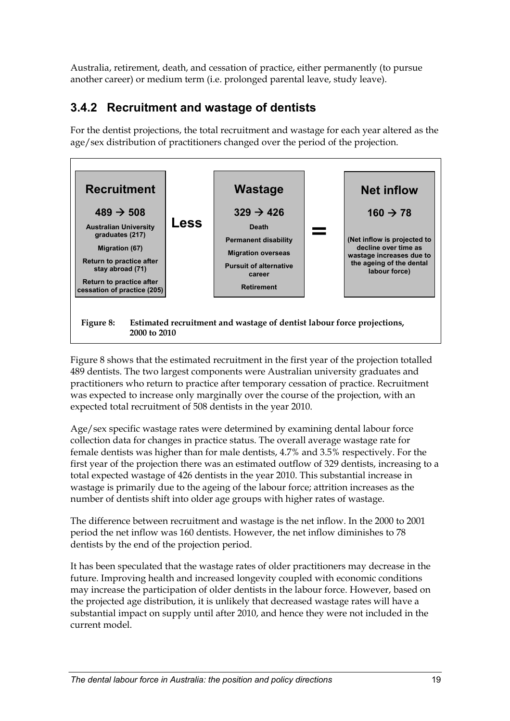<span id="page-27-0"></span>Australia, retirement, death, and cessation of practice, either permanently (to pursue another career) or medium term (i.e. prolonged parental leave, study leave).

### **3.4.2 Recruitment and wastage of dentists**

For the dentist projections, the total recruitment and wastage for each year altered as the age/sex distribution of practitioners changed over the period of the projection.



<span id="page-27-1"></span>[Figure 8](#page-27-1) shows that the estimated recruitment in the first year of the projection totalled 489 dentists. The two largest components were Australian university graduates and practitioners who return to practice after temporary cessation of practice. Recruitment was expected to increase only marginally over the course of the projection, with an expected total recruitment of 508 dentists in the year 2010.

Age/sex specific wastage rates were determined by examining dental labour force collection data for changes in practice status. The overall average wastage rate for female dentists was higher than for male dentists, 4.7% and 3.5% respectively. For the first year of the projection there was an estimated outflow of 329 dentists, increasing to a total expected wastage of 426 dentists in the year 2010. This substantial increase in wastage is primarily due to the ageing of the labour force; attrition increases as the number of dentists shift into older age groups with higher rates of wastage.

The difference between recruitment and wastage is the net inflow. In the 2000 to 2001 period the net inflow was 160 dentists. However, the net inflow diminishes to 78 dentists by the end of the projection period.

It has been speculated that the wastage rates of older practitioners may decrease in the future. Improving health and increased longevity coupled with economic conditions may increase the participation of older dentists in the labour force. However, based on the projected age distribution, it is unlikely that decreased wastage rates will have a substantial impact on supply until after 2010, and hence they were not included in the current model.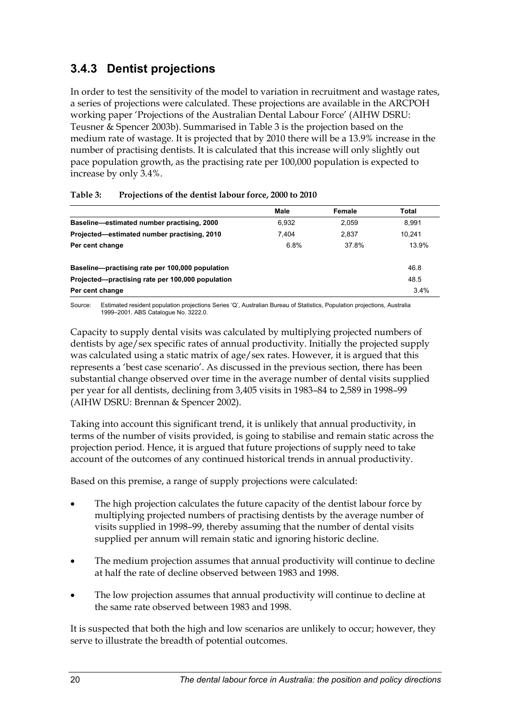### <span id="page-28-0"></span>**3.4.3 Dentist projections**

In order to test the sensitivity of the model to variation in recruitment and wastage rates, a series of projections were calculated. These projections are available in the ARCPOH working paper 'Projections of the Australian Dental Labour Force' (AIHW DSRU: Teusner & Spencer 2003b). Summarised in [Table 3](#page-28-1) is the projection based on the medium rate of wastage. It is projected that by 2010 there will be a 13.9% increase in the number of practising dentists. It is calculated that this increase will only slightly out pace population growth, as the practising rate per 100,000 population is expected to increase by only 3.4%.

|                                                  | Male  | Female | Total  |
|--------------------------------------------------|-------|--------|--------|
| Baseline-estimated number practising, 2000       | 6.932 | 2.059  | 8.991  |
| Projected—estimated number practising, 2010      | 7.404 | 2.837  | 10.241 |
| Per cent change                                  | 6.8%  | 37.8%  | 13.9%  |
| Baseline-practising rate per 100,000 population  |       |        | 46.8   |
| Projected—practising rate per 100,000 population |       |        | 48.5   |
| Per cent change                                  |       |        | 3.4%   |

#### <span id="page-28-1"></span>**Table 3: Projections of the dentist labour force, 2000 to 2010**

Source: Estimated resident population projections Series 'Q', Australian Bureau of Statistics, Population projections, Australia 1999–2001. ABS Catalogue No. 3222.0.

Capacity to supply dental visits was calculated by multiplying projected numbers of dentists by age/sex specific rates of annual productivity. Initially the projected supply was calculated using a static matrix of age/sex rates. However, it is argued that this represents a 'best case scenario'. As discussed in the previous section, there has been substantial change observed over time in the average number of dental visits supplied per year for all dentists, declining from 3,405 visits in 1983–84 to 2,589 in 1998–99 (AIHW DSRU: Brennan & Spencer 2002).

Taking into account this significant trend, it is unlikely that annual productivity, in terms of the number of visits provided, is going to stabilise and remain static across the projection period. Hence, it is argued that future projections of supply need to take account of the outcomes of any continued historical trends in annual productivity.

Based on this premise, a range of supply projections were calculated:

- The high projection calculates the future capacity of the dentist labour force by multiplying projected numbers of practising dentists by the average number of visits supplied in 1998–99, thereby assuming that the number of dental visits supplied per annum will remain static and ignoring historic decline.
- The medium projection assumes that annual productivity will continue to decline at half the rate of decline observed between 1983 and 1998.
- The low projection assumes that annual productivity will continue to decline at the same rate observed between 1983 and 1998.

It is suspected that both the high and low scenarios are unlikely to occur; however, they serve to illustrate the breadth of potential outcomes.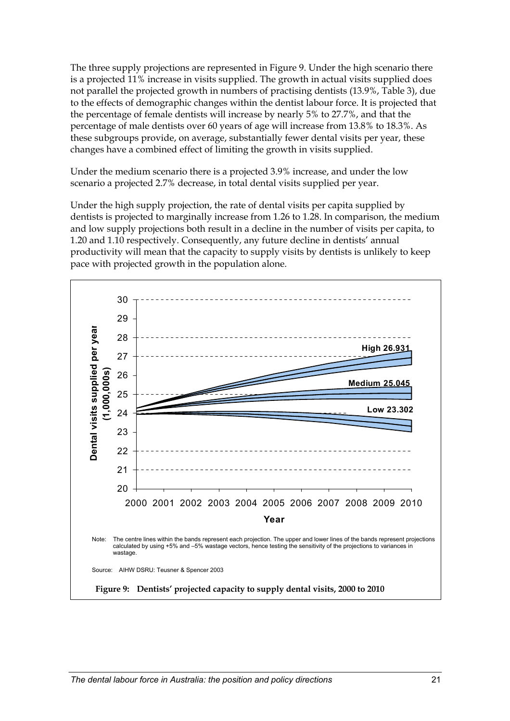<span id="page-29-0"></span>The three supply projections are represented in [Figure 9.](#page-29-1) Under the high scenario there is a projected 11% increase in visits supplied. The growth in actual visits supplied does not parallel the projected growth in numbers of practising dentists (13.9%, [Table 3\)](#page-28-1), due to the effects of demographic changes within the dentist labour force. It is projected that the percentage of female dentists will increase by nearly 5% to 27.7%, and that the percentage of male dentists over 60 years of age will increase from 13.8% to 18.3%. As these subgroups provide, on average, substantially fewer dental visits per year, these changes have a combined effect of limiting the growth in visits supplied.

Under the medium scenario there is a projected 3.9% increase, and under the low scenario a projected 2.7% decrease, in total dental visits supplied per year.

Under the high supply projection, the rate of dental visits per capita supplied by dentists is projected to marginally increase from 1.26 to 1.28. In comparison, the medium and low supply projections both result in a decline in the number of visits per capita, to 1.20 and 1.10 respectively. Consequently, any future decline in dentists' annual productivity will mean that the capacity to supply visits by dentists is unlikely to keep pace with projected growth in the population alone.

<span id="page-29-1"></span>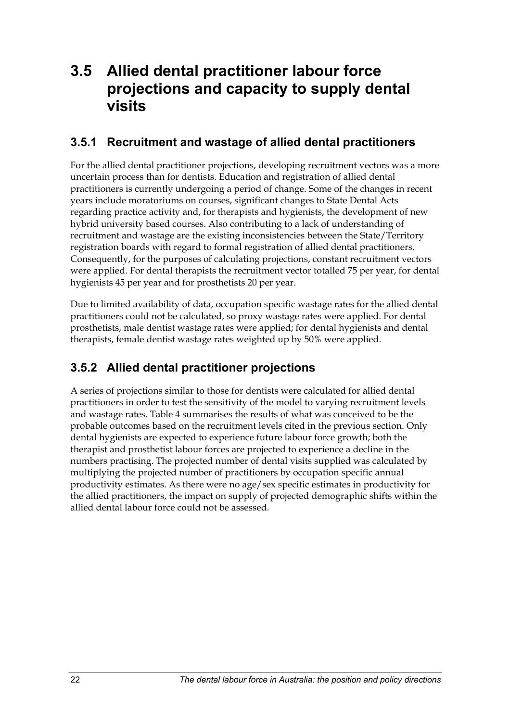## <span id="page-30-0"></span>**3.5 Allied dental practitioner labour force projections and capacity to supply dental visits**

### **3.5.1 Recruitment and wastage of allied dental practitioners**

For the allied dental practitioner projections, developing recruitment vectors was a more uncertain process than for dentists. Education and registration of allied dental practitioners is currently undergoing a period of change. Some of the changes in recent years include moratoriums on courses, significant changes to State Dental Acts regarding practice activity and, for therapists and hygienists, the development of new hybrid university based courses. Also contributing to a lack of understanding of recruitment and wastage are the existing inconsistencies between the State/Territory registration boards with regard to formal registration of allied dental practitioners. Consequently, for the purposes of calculating projections, constant recruitment vectors were applied. For dental therapists the recruitment vector totalled 75 per year, for dental hygienists 45 per year and for prosthetists 20 per year.

Due to limited availability of data, occupation specific wastage rates for the allied dental practitioners could not be calculated, so proxy wastage rates were applied. For dental prosthetists, male dentist wastage rates were applied; for dental hygienists and dental therapists, female dentist wastage rates weighted up by 50% were applied.

### **3.5.2 Allied dental practitioner projections**

A series of projections similar to those for dentists were calculated for allied dental practitioners in order to test the sensitivity of the model to varying recruitment levels and wastage rates. [Table 4](#page-31-1) summarises the results of what was conceived to be the probable outcomes based on the recruitment levels cited in the previous section. Only dental hygienists are expected to experience future labour force growth; both the therapist and prosthetist labour forces are projected to experience a decline in the numbers practising. The projected number of dental visits supplied was calculated by multiplying the projected number of practitioners by occupation specific annual productivity estimates. As there were no age/sex specific estimates in productivity for the allied practitioners, the impact on supply of projected demographic shifts within the allied dental labour force could not be assessed.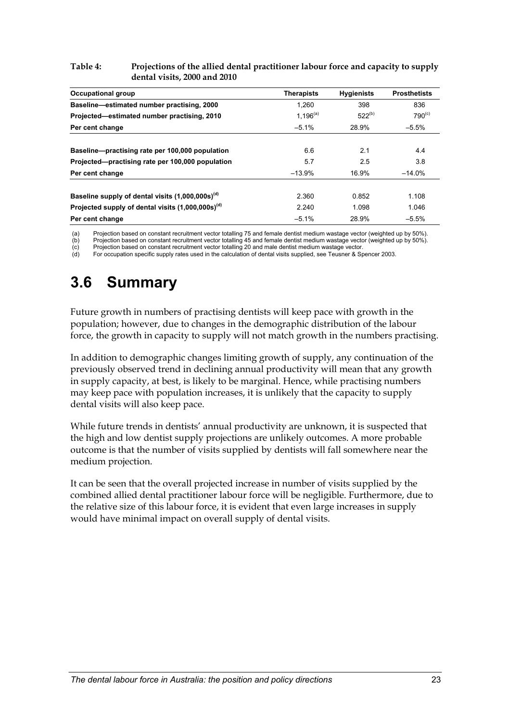#### <span id="page-31-1"></span><span id="page-31-0"></span>**Table 4: Projections of the allied dental practitioner labour force and capacity to supply dental visits, 2000 and 2010**

| Occupational group                                           | <b>Therapists</b> | <b>Hygienists</b> | <b>Prosthetists</b> |
|--------------------------------------------------------------|-------------------|-------------------|---------------------|
| Baseline-estimated number practising, 2000                   | 1.260             | 398               | 836                 |
| Projected—estimated number practising, 2010                  | $1,196^{(a)}$     | $522^{(b)}$       | $790^{(c)}$         |
| Per cent change                                              | $-5.1%$           | 28.9%             | $-5.5%$             |
| Baseline-practising rate per 100,000 population              | 6.6               | 2.1               | 4.4                 |
| Projected-practising rate per 100,000 population             | 5.7               | 2.5               | 3.8                 |
| Per cent change                                              | $-13.9%$          | 16.9%             | $-14.0%$            |
| Baseline supply of dental visits (1,000,000s) <sup>(d)</sup> | 2.360             | 0.852             | 1.108               |
| Projected supply of dental visits $(1,000,000s)^{(d)}$       | 2.240             | 1.098             | 1.046               |
| Per cent change                                              | $-5.1%$           | 28.9%             | $-5.5%$             |

(a) Projection based on constant recruitment vector totalling 75 and female dentist medium wastage vector (weighted up by 50%).<br>(b) Projection based on constant recruitment vector totalling 45 and female dentist medium was

(b) Projection based on constant recruitment vector totalling 45 and female dentist medium wastage vector (weighted up by 50%).<br>
(c) Projection based on constant recruitment vector totalling 20 and male dentist medium was (c) Projection based on constant recruitment vector totalling 20 and male dentist medium wastage vector.

For occupation specific supply rates used in the calculation of dental visits supplied, see Teusner & Spencer 2003.

## **3.6 Summary**

Future growth in numbers of practising dentists will keep pace with growth in the population; however, due to changes in the demographic distribution of the labour force, the growth in capacity to supply will not match growth in the numbers practising.

In addition to demographic changes limiting growth of supply, any continuation of the previously observed trend in declining annual productivity will mean that any growth in supply capacity, at best, is likely to be marginal. Hence, while practising numbers may keep pace with population increases, it is unlikely that the capacity to supply dental visits will also keep pace.

While future trends in dentists' annual productivity are unknown, it is suspected that the high and low dentist supply projections are unlikely outcomes. A more probable outcome is that the number of visits supplied by dentists will fall somewhere near the medium projection.

It can be seen that the overall projected increase in number of visits supplied by the combined allied dental practitioner labour force will be negligible. Furthermore, due to the relative size of this labour force, it is evident that even large increases in supply would have minimal impact on overall supply of dental visits.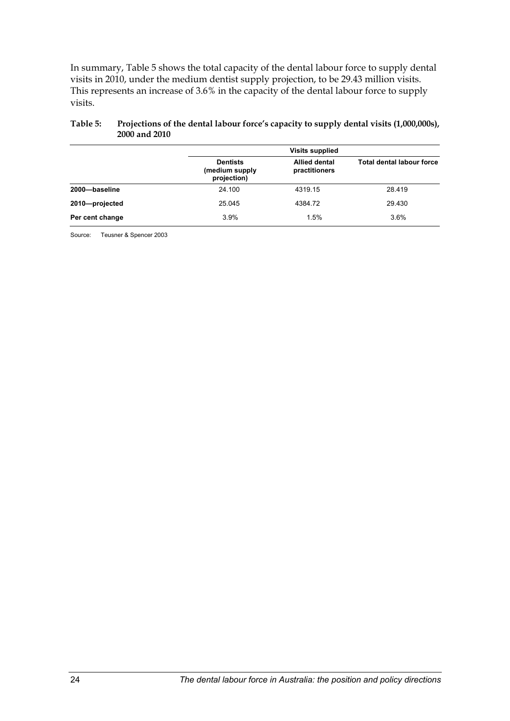<span id="page-32-0"></span>In summary, [Table 5](#page-32-1) shows the total capacity of the dental labour force to supply dental visits in 2010, under the medium dentist supply projection, to be 29.43 million visits. This represents an increase of 3.6% in the capacity of the dental labour force to supply visits.

|                 |                                                  | <b>Visits supplied</b>                |                                  |  |  |
|-----------------|--------------------------------------------------|---------------------------------------|----------------------------------|--|--|
|                 | <b>Dentists</b><br>(medium supply<br>projection) | <b>Allied dental</b><br>practitioners | <b>Total dental labour force</b> |  |  |
| 2000-baseline   | 24.100                                           | 4319.15                               | 28.419                           |  |  |
| 2010-projected  | 25.045                                           | 4384.72                               | 29.430                           |  |  |
| Per cent change | 3.9%                                             | 1.5%                                  | 3.6%                             |  |  |

#### <span id="page-32-1"></span>**Table 5: Projections of the dental labour force's capacity to supply dental visits (1,000,000s), 2000 and 2010**

Source: Teusner & Spencer 2003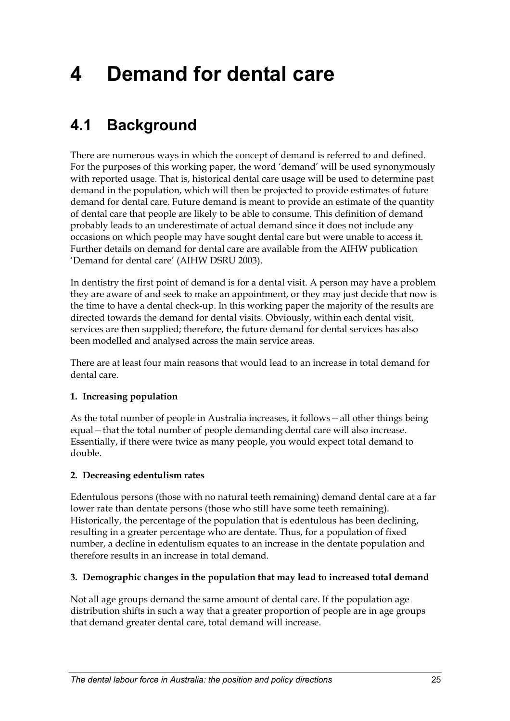# <span id="page-33-0"></span>**4 Demand for dental care**

# **4.1 Background**

There are numerous ways in which the concept of demand is referred to and defined. For the purposes of this working paper, the word 'demand' will be used synonymously with reported usage. That is, historical dental care usage will be used to determine past demand in the population, which will then be projected to provide estimates of future demand for dental care. Future demand is meant to provide an estimate of the quantity of dental care that people are likely to be able to consume. This definition of demand probably leads to an underestimate of actual demand since it does not include any occasions on which people may have sought dental care but were unable to access it. Further details on demand for dental care are available from the AIHW publication 'Demand for dental care' (AIHW DSRU 2003).

In dentistry the first point of demand is for a dental visit. A person may have a problem they are aware of and seek to make an appointment, or they may just decide that now is the time to have a dental check-up. In this working paper the majority of the results are directed towards the demand for dental visits. Obviously, within each dental visit, services are then supplied; therefore, the future demand for dental services has also been modelled and analysed across the main service areas.

There are at least four main reasons that would lead to an increase in total demand for dental care.

### **1. Increasing population**

As the total number of people in Australia increases, it follows—all other things being equal—that the total number of people demanding dental care will also increase. Essentially, if there were twice as many people, you would expect total demand to double.

### **2. Decreasing edentulism rates**

Edentulous persons (those with no natural teeth remaining) demand dental care at a far lower rate than dentate persons (those who still have some teeth remaining). Historically, the percentage of the population that is edentulous has been declining, resulting in a greater percentage who are dentate. Thus, for a population of fixed number, a decline in edentulism equates to an increase in the dentate population and therefore results in an increase in total demand.

### **3. Demographic changes in the population that may lead to increased total demand**

Not all age groups demand the same amount of dental care. If the population age distribution shifts in such a way that a greater proportion of people are in age groups that demand greater dental care, total demand will increase.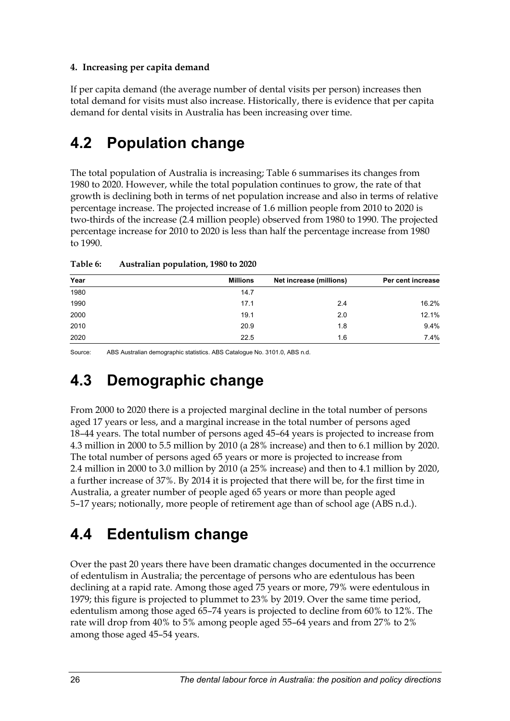### <span id="page-34-0"></span>**4. Increasing per capita demand**

If per capita demand (the average number of dental visits per person) increases then total demand for visits must also increase. Historically, there is evidence that per capita demand for dental visits in Australia has been increasing over time.

## **4.2 Population change**

The total population of Australia is increasing; Table 6 summarises its changes from 1980 to 2020. However, while the total population continues to grow, the rate of that growth is declining both in terms of net population increase and also in terms of relative percentage increase. The projected increase of 1.6 million people from 2010 to 2020 is two-thirds of the increase (2.4 million people) observed from 1980 to 1990. The projected percentage increase for 2010 to 2020 is less than half the percentage increase from 1980 to 1990.

| Year | <b>Millions</b> | Net increase (millions) | Per cent increase |
|------|-----------------|-------------------------|-------------------|
| 1980 | 14.7            |                         |                   |
| 1990 | 17.1            | 2.4                     | 16.2%             |
| 2000 | 19.1            | 2.0                     | 12.1%             |
| 2010 | 20.9            | 1.8                     | 9.4%              |
| 2020 | 22.5            | 1.6                     | 7.4%              |

**Table 6: Australian population, 1980 to 2020**

Source: ABS Australian demographic statistics. ABS Catalogue No. 3101.0, ABS n.d.

## **4.3 Demographic change**

From 2000 to 2020 there is a projected marginal decline in the total number of persons aged 17 years or less, and a marginal increase in the total number of persons aged 18–44 years. The total number of persons aged 45–64 years is projected to increase from 4.3 million in 2000 to 5.5 million by 2010 (a 28% increase) and then to 6.1 million by 2020. The total number of persons aged 65 years or more is projected to increase from 2.4 million in 2000 to 3.0 million by 2010 (a 25% increase) and then to 4.1 million by 2020, a further increase of 37%. By 2014 it is projected that there will be, for the first time in Australia, a greater number of people aged 65 years or more than people aged 5–17 years; notionally, more people of retirement age than of school age (ABS n.d.).

## **4.4 Edentulism change**

Over the past 20 years there have been dramatic changes documented in the occurrence of edentulism in Australia; the percentage of persons who are edentulous has been declining at a rapid rate. Among those aged 75 years or more, 79% were edentulous in 1979; this figure is projected to plummet to 23% by 2019. Over the same time period, edentulism among those aged 65–74 years is projected to decline from 60% to 12%. The rate will drop from 40% to 5% among people aged 55–64 years and from 27% to 2% among those aged 45–54 years.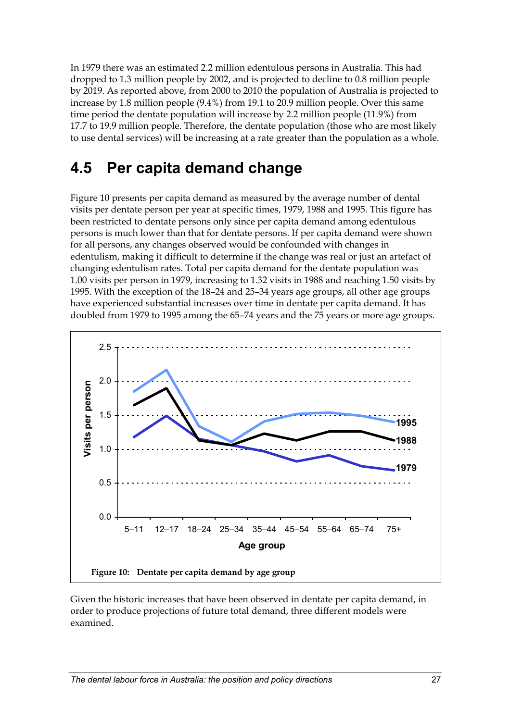<span id="page-35-0"></span>In 1979 there was an estimated 2.2 million edentulous persons in Australia. This had dropped to 1.3 million people by 2002, and is projected to decline to 0.8 million people by 2019. As reported above, from 2000 to 2010 the population of Australia is projected to increase by 1.8 million people (9.4%) from 19.1 to 20.9 million people. Over this same time period the dentate population will increase by 2.2 million people (11.9%) from 17.7 to 19.9 million people. Therefore, the dentate population (those who are most likely to use dental services) will be increasing at a rate greater than the population as a whole.

## **4.5 Per capita demand change**

Figure 10 presents per capita demand as measured by the average number of dental visits per dentate person per year at specific times, 1979, 1988 and 1995. This figure has been restricted to dentate persons only since per capita demand among edentulous persons is much lower than that for dentate persons. If per capita demand were shown for all persons, any changes observed would be confounded with changes in edentulism, making it difficult to determine if the change was real or just an artefact of changing edentulism rates. Total per capita demand for the dentate population was 1.00 visits per person in 1979, increasing to 1.32 visits in 1988 and reaching 1.50 visits by 1995. With the exception of the 18–24 and 25–34 years age groups, all other age groups have experienced substantial increases over time in dentate per capita demand. It has doubled from 1979 to 1995 among the 65–74 years and the 75 years or more age groups.



Given the historic increases that have been observed in dentate per capita demand, in order to produce projections of future total demand, three different models were examined.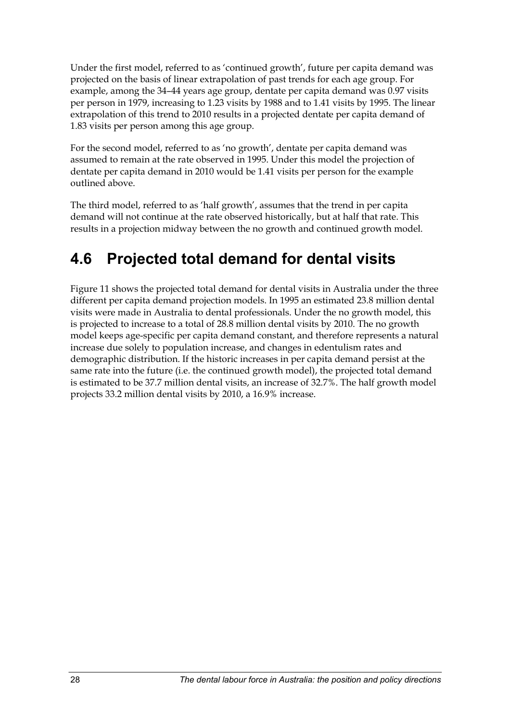<span id="page-36-0"></span>Under the first model, referred to as 'continued growth', future per capita demand was projected on the basis of linear extrapolation of past trends for each age group. For example, among the 34–44 years age group, dentate per capita demand was 0.97 visits per person in 1979, increasing to 1.23 visits by 1988 and to 1.41 visits by 1995. The linear extrapolation of this trend to 2010 results in a projected dentate per capita demand of 1.83 visits per person among this age group.

For the second model, referred to as 'no growth', dentate per capita demand was assumed to remain at the rate observed in 1995. Under this model the projection of dentate per capita demand in 2010 would be 1.41 visits per person for the example outlined above.

The third model, referred to as 'half growth', assumes that the trend in per capita demand will not continue at the rate observed historically, but at half that rate. This results in a projection midway between the no growth and continued growth model.

# **4.6 Projected total demand for dental visits**

Figure 11 shows the projected total demand for dental visits in Australia under the three different per capita demand projection models. In 1995 an estimated 23.8 million dental visits were made in Australia to dental professionals. Under the no growth model, this is projected to increase to a total of 28.8 million dental visits by 2010. The no growth model keeps age-specific per capita demand constant, and therefore represents a natural increase due solely to population increase, and changes in edentulism rates and demographic distribution. If the historic increases in per capita demand persist at the same rate into the future (i.e. the continued growth model), the projected total demand is estimated to be 37.7 million dental visits, an increase of 32.7%. The half growth model projects 33.2 million dental visits by 2010, a 16.9% increase.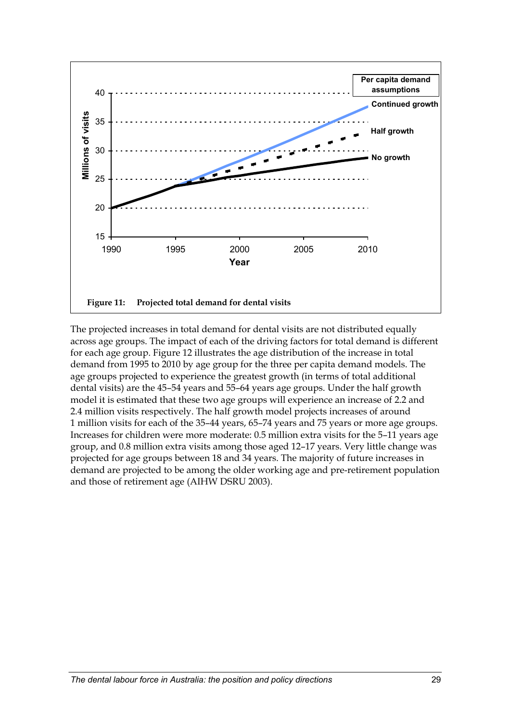<span id="page-37-0"></span>

The projected increases in total demand for dental visits are not distributed equally across age groups. The impact of each of the driving factors for total demand is different for each age group. Figure 12 illustrates the age distribution of the increase in total demand from 1995 to 2010 by age group for the three per capita demand models. The age groups projected to experience the greatest growth (in terms of total additional dental visits) are the 45–54 years and 55–64 years age groups. Under the half growth model it is estimated that these two age groups will experience an increase of 2.2 and 2.4 million visits respectively. The half growth model projects increases of around 1 million visits for each of the 35–44 years, 65–74 years and 75 years or more age groups. Increases for children were more moderate: 0.5 million extra visits for the 5–11 years age group, and 0.8 million extra visits among those aged 12–17 years. Very little change was projected for age groups between 18 and 34 years. The majority of future increases in demand are projected to be among the older working age and pre-retirement population and those of retirement age (AIHW DSRU 2003).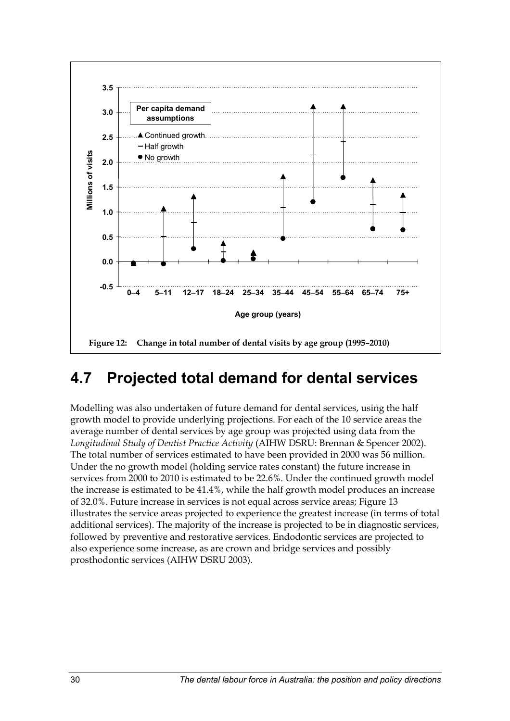<span id="page-38-0"></span>

## **4.7 Projected total demand for dental services**

Modelling was also undertaken of future demand for dental services, using the half growth model to provide underlying projections. For each of the 10 service areas the average number of dental services by age group was projected using data from the *Longitudinal Study of Dentist Practice Activity* (AIHW DSRU: Brennan & Spencer 2002). The total number of services estimated to have been provided in 2000 was 56 million. Under the no growth model (holding service rates constant) the future increase in services from 2000 to 2010 is estimated to be 22.6%. Under the continued growth model the increase is estimated to be 41.4%, while the half growth model produces an increase of 32.0%. Future increase in services is not equal across service areas; Figure 13 illustrates the service areas projected to experience the greatest increase (in terms of total additional services). The majority of the increase is projected to be in diagnostic services, followed by preventive and restorative services. Endodontic services are projected to also experience some increase, as are crown and bridge services and possibly prosthodontic services (AIHW DSRU 2003).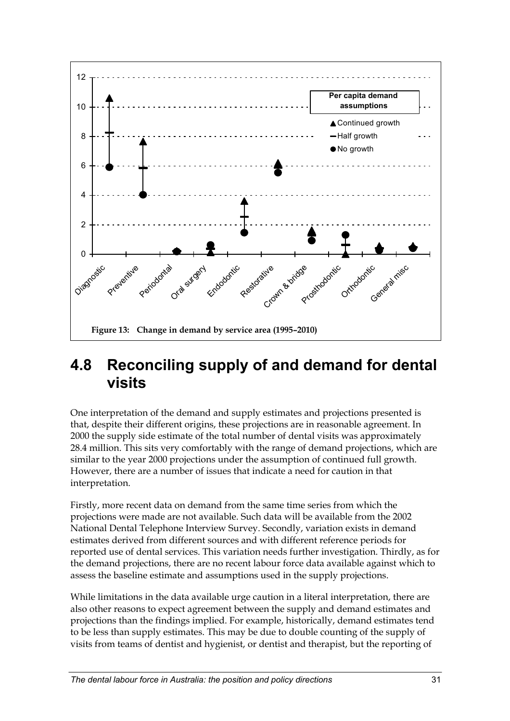<span id="page-39-0"></span>

### **4.8 Reconciling supply of and demand for dental visits**

One interpretation of the demand and supply estimates and projections presented is that, despite their different origins, these projections are in reasonable agreement. In 2000 the supply side estimate of the total number of dental visits was approximately 28.4 million. This sits very comfortably with the range of demand projections, which are similar to the year 2000 projections under the assumption of continued full growth. However, there are a number of issues that indicate a need for caution in that interpretation.

Firstly, more recent data on demand from the same time series from which the projections were made are not available. Such data will be available from the 2002 National Dental Telephone Interview Survey. Secondly, variation exists in demand estimates derived from different sources and with different reference periods for reported use of dental services. This variation needs further investigation. Thirdly, as for the demand projections, there are no recent labour force data available against which to assess the baseline estimate and assumptions used in the supply projections.

While limitations in the data available urge caution in a literal interpretation, there are also other reasons to expect agreement between the supply and demand estimates and projections than the findings implied. For example, historically, demand estimates tend to be less than supply estimates. This may be due to double counting of the supply of visits from teams of dentist and hygienist, or dentist and therapist, but the reporting of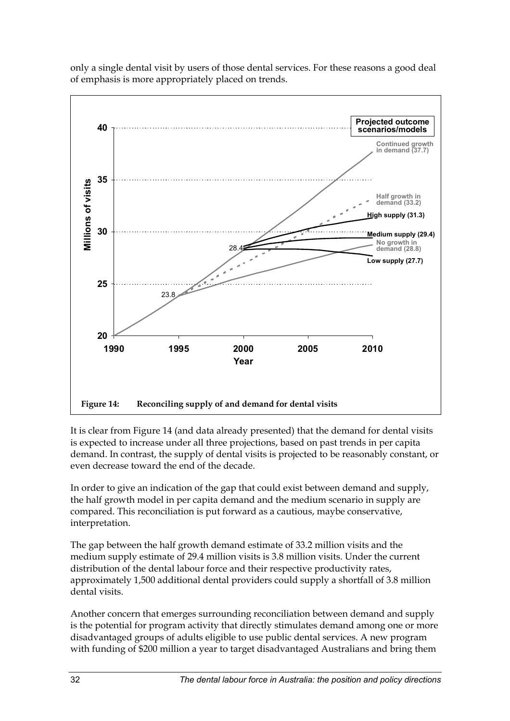

<span id="page-40-0"></span>only a single dental visit by users of those dental services. For these reasons a good deal of emphasis is more appropriately placed on trends.

It is clear from Figure 14 (and data already presented) that the demand for dental visits is expected to increase under all three projections, based on past trends in per capita demand. In contrast, the supply of dental visits is projected to be reasonably constant, or even decrease toward the end of the decade.

In order to give an indication of the gap that could exist between demand and supply, the half growth model in per capita demand and the medium scenario in supply are compared. This reconciliation is put forward as a cautious, maybe conservative, interpretation.

The gap between the half growth demand estimate of 33.2 million visits and the medium supply estimate of 29.4 million visits is 3.8 million visits. Under the current distribution of the dental labour force and their respective productivity rates, approximately 1,500 additional dental providers could supply a shortfall of 3.8 million dental visits.

Another concern that emerges surrounding reconciliation between demand and supply is the potential for program activity that directly stimulates demand among one or more disadvantaged groups of adults eligible to use public dental services. A new program with funding of \$200 million a year to target disadvantaged Australians and bring them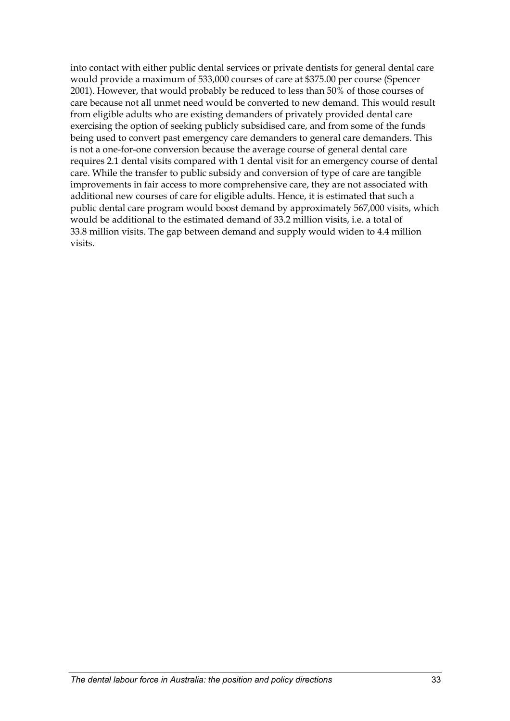into contact with either public dental services or private dentists for general dental care would provide a maximum of 533,000 courses of care at \$375.00 per course (Spencer 2001). However, that would probably be reduced to less than 50% of those courses of care because not all unmet need would be converted to new demand. This would result from eligible adults who are existing demanders of privately provided dental care exercising the option of seeking publicly subsidised care, and from some of the funds being used to convert past emergency care demanders to general care demanders. This is not a one-for-one conversion because the average course of general dental care requires 2.1 dental visits compared with 1 dental visit for an emergency course of dental care. While the transfer to public subsidy and conversion of type of care are tangible improvements in fair access to more comprehensive care, they are not associated with additional new courses of care for eligible adults. Hence, it is estimated that such a public dental care program would boost demand by approximately 567,000 visits, which would be additional to the estimated demand of 33.2 million visits, i.e. a total of 33.8 million visits. The gap between demand and supply would widen to 4.4 million visits.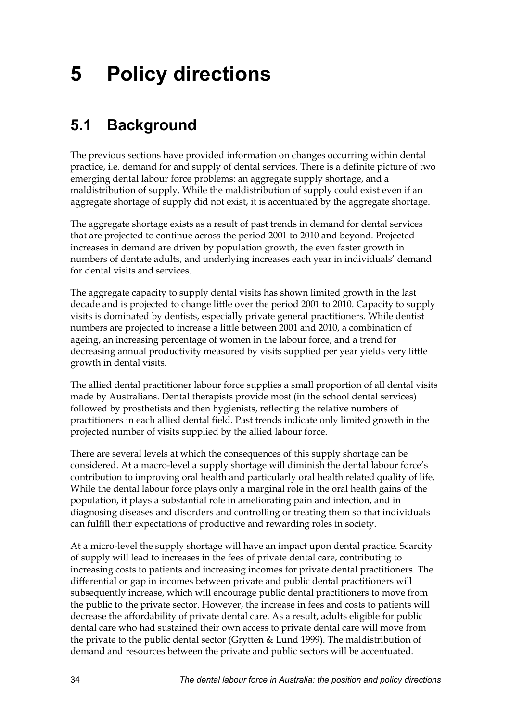# <span id="page-42-0"></span>**5 Policy directions**

# **5.1 Background**

The previous sections have provided information on changes occurring within dental practice, i.e. demand for and supply of dental services. There is a definite picture of two emerging dental labour force problems: an aggregate supply shortage, and a maldistribution of supply. While the maldistribution of supply could exist even if an aggregate shortage of supply did not exist, it is accentuated by the aggregate shortage.

The aggregate shortage exists as a result of past trends in demand for dental services that are projected to continue across the period 2001 to 2010 and beyond. Projected increases in demand are driven by population growth, the even faster growth in numbers of dentate adults, and underlying increases each year in individuals' demand for dental visits and services.

The aggregate capacity to supply dental visits has shown limited growth in the last decade and is projected to change little over the period 2001 to 2010. Capacity to supply visits is dominated by dentists, especially private general practitioners. While dentist numbers are projected to increase a little between 2001 and 2010, a combination of ageing, an increasing percentage of women in the labour force, and a trend for decreasing annual productivity measured by visits supplied per year yields very little growth in dental visits.

The allied dental practitioner labour force supplies a small proportion of all dental visits made by Australians. Dental therapists provide most (in the school dental services) followed by prosthetists and then hygienists, reflecting the relative numbers of practitioners in each allied dental field. Past trends indicate only limited growth in the projected number of visits supplied by the allied labour force.

There are several levels at which the consequences of this supply shortage can be considered. At a macro-level a supply shortage will diminish the dental labour force's contribution to improving oral health and particularly oral health related quality of life. While the dental labour force plays only a marginal role in the oral health gains of the population, it plays a substantial role in ameliorating pain and infection, and in diagnosing diseases and disorders and controlling or treating them so that individuals can fulfill their expectations of productive and rewarding roles in society.

At a micro-level the supply shortage will have an impact upon dental practice. Scarcity of supply will lead to increases in the fees of private dental care, contributing to increasing costs to patients and increasing incomes for private dental practitioners. The differential or gap in incomes between private and public dental practitioners will subsequently increase, which will encourage public dental practitioners to move from the public to the private sector. However, the increase in fees and costs to patients will decrease the affordability of private dental care. As a result, adults eligible for public dental care who had sustained their own access to private dental care will move from the private to the public dental sector (Grytten & Lund 1999). The maldistribution of demand and resources between the private and public sectors will be accentuated.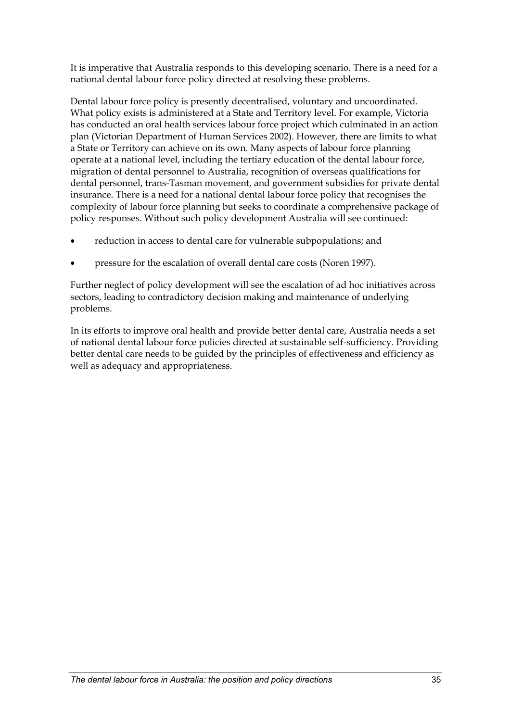It is imperative that Australia responds to this developing scenario. There is a need for a national dental labour force policy directed at resolving these problems.

Dental labour force policy is presently decentralised, voluntary and uncoordinated. What policy exists is administered at a State and Territory level. For example, Victoria has conducted an oral health services labour force project which culminated in an action plan (Victorian Department of Human Services 2002). However, there are limits to what a State or Territory can achieve on its own. Many aspects of labour force planning operate at a national level, including the tertiary education of the dental labour force, migration of dental personnel to Australia, recognition of overseas qualifications for dental personnel, trans-Tasman movement, and government subsidies for private dental insurance. There is a need for a national dental labour force policy that recognises the complexity of labour force planning but seeks to coordinate a comprehensive package of policy responses. Without such policy development Australia will see continued:

- reduction in access to dental care for vulnerable subpopulations; and
- pressure for the escalation of overall dental care costs (Noren 1997).

Further neglect of policy development will see the escalation of ad hoc initiatives across sectors, leading to contradictory decision making and maintenance of underlying problems.

In its efforts to improve oral health and provide better dental care, Australia needs a set of national dental labour force policies directed at sustainable self-sufficiency. Providing better dental care needs to be guided by the principles of effectiveness and efficiency as well as adequacy and appropriateness.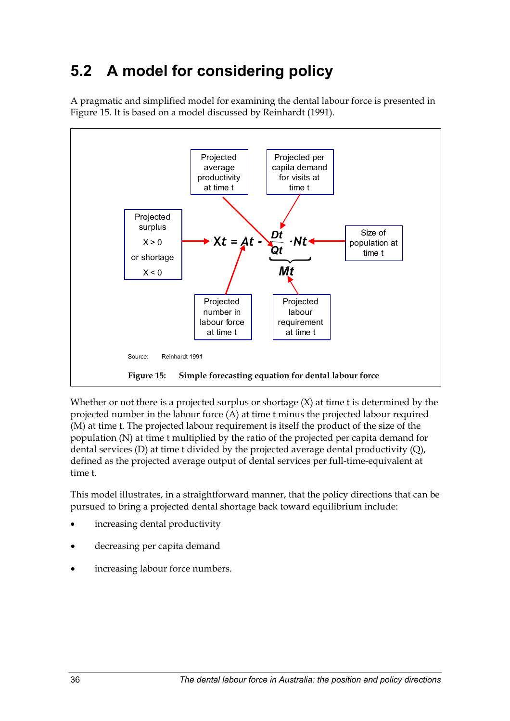# <span id="page-44-0"></span>**5.2 A model for considering policy**

A pragmatic and simplified model for examining the dental labour force is presented in [Figure 15.](#page-44-1) It is based on a model discussed by Reinhardt (1991).



<span id="page-44-1"></span>Whether or not there is a projected surplus or shortage  $(X)$  at time t is determined by the projected number in the labour force (A) at time t minus the projected labour required (M) at time t. The projected labour requirement is itself the product of the size of the population (N) at time t multiplied by the ratio of the projected per capita demand for dental services (D) at time t divided by the projected average dental productivity (Q), defined as the projected average output of dental services per full-time-equivalent at time t.

This model illustrates, in a straightforward manner, that the policy directions that can be pursued to bring a projected dental shortage back toward equilibrium include:

- increasing dental productivity
- decreasing per capita demand
- increasing labour force numbers.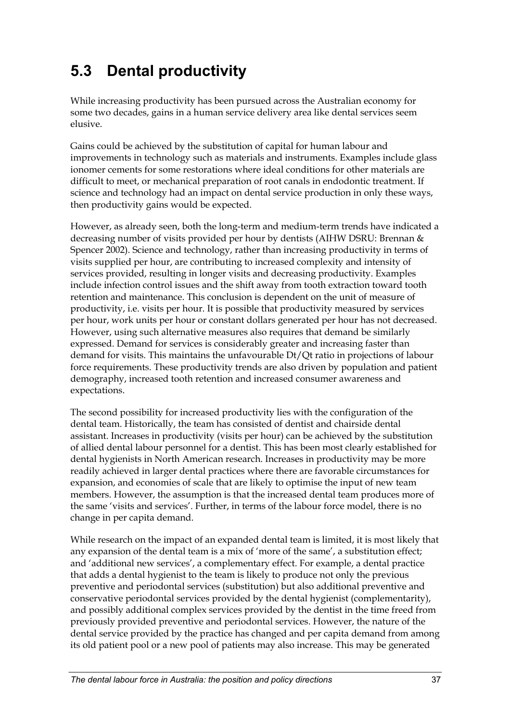# <span id="page-45-0"></span>**5.3 Dental productivity**

While increasing productivity has been pursued across the Australian economy for some two decades, gains in a human service delivery area like dental services seem elusive.

Gains could be achieved by the substitution of capital for human labour and improvements in technology such as materials and instruments. Examples include glass ionomer cements for some restorations where ideal conditions for other materials are difficult to meet, or mechanical preparation of root canals in endodontic treatment. If science and technology had an impact on dental service production in only these ways, then productivity gains would be expected.

However, as already seen, both the long-term and medium-term trends have indicated a decreasing number of visits provided per hour by dentists (AIHW DSRU: Brennan & Spencer 2002). Science and technology, rather than increasing productivity in terms of visits supplied per hour, are contributing to increased complexity and intensity of services provided, resulting in longer visits and decreasing productivity. Examples include infection control issues and the shift away from tooth extraction toward tooth retention and maintenance. This conclusion is dependent on the unit of measure of productivity, i.e. visits per hour. It is possible that productivity measured by services per hour, work units per hour or constant dollars generated per hour has not decreased. However, using such alternative measures also requires that demand be similarly expressed. Demand for services is considerably greater and increasing faster than demand for visits. This maintains the unfavourable Dt/Qt ratio in projections of labour force requirements. These productivity trends are also driven by population and patient demography, increased tooth retention and increased consumer awareness and expectations.

The second possibility for increased productivity lies with the configuration of the dental team. Historically, the team has consisted of dentist and chairside dental assistant. Increases in productivity (visits per hour) can be achieved by the substitution of allied dental labour personnel for a dentist. This has been most clearly established for dental hygienists in North American research. Increases in productivity may be more readily achieved in larger dental practices where there are favorable circumstances for expansion, and economies of scale that are likely to optimise the input of new team members. However, the assumption is that the increased dental team produces more of the same 'visits and services'. Further, in terms of the labour force model, there is no change in per capita demand.

While research on the impact of an expanded dental team is limited, it is most likely that any expansion of the dental team is a mix of 'more of the same', a substitution effect; and 'additional new services', a complementary effect. For example, a dental practice that adds a dental hygienist to the team is likely to produce not only the previous preventive and periodontal services (substitution) but also additional preventive and conservative periodontal services provided by the dental hygienist (complementarity), and possibly additional complex services provided by the dentist in the time freed from previously provided preventive and periodontal services. However, the nature of the dental service provided by the practice has changed and per capita demand from among its old patient pool or a new pool of patients may also increase. This may be generated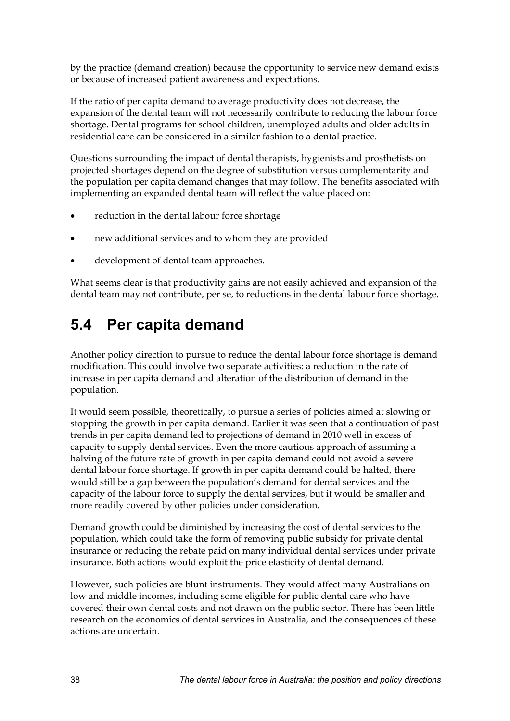<span id="page-46-0"></span>by the practice (demand creation) because the opportunity to service new demand exists or because of increased patient awareness and expectations.

If the ratio of per capita demand to average productivity does not decrease, the expansion of the dental team will not necessarily contribute to reducing the labour force shortage. Dental programs for school children, unemployed adults and older adults in residential care can be considered in a similar fashion to a dental practice.

Questions surrounding the impact of dental therapists, hygienists and prosthetists on projected shortages depend on the degree of substitution versus complementarity and the population per capita demand changes that may follow. The benefits associated with implementing an expanded dental team will reflect the value placed on:

- reduction in the dental labour force shortage
- new additional services and to whom they are provided
- development of dental team approaches.

What seems clear is that productivity gains are not easily achieved and expansion of the dental team may not contribute, per se, to reductions in the dental labour force shortage.

# **5.4 Per capita demand**

Another policy direction to pursue to reduce the dental labour force shortage is demand modification. This could involve two separate activities: a reduction in the rate of increase in per capita demand and alteration of the distribution of demand in the population.

It would seem possible, theoretically, to pursue a series of policies aimed at slowing or stopping the growth in per capita demand. Earlier it was seen that a continuation of past trends in per capita demand led to projections of demand in 2010 well in excess of capacity to supply dental services. Even the more cautious approach of assuming a halving of the future rate of growth in per capita demand could not avoid a severe dental labour force shortage. If growth in per capita demand could be halted, there would still be a gap between the population's demand for dental services and the capacity of the labour force to supply the dental services, but it would be smaller and more readily covered by other policies under consideration.

Demand growth could be diminished by increasing the cost of dental services to the population, which could take the form of removing public subsidy for private dental insurance or reducing the rebate paid on many individual dental services under private insurance. Both actions would exploit the price elasticity of dental demand.

However, such policies are blunt instruments. They would affect many Australians on low and middle incomes, including some eligible for public dental care who have covered their own dental costs and not drawn on the public sector. There has been little research on the economics of dental services in Australia, and the consequences of these actions are uncertain.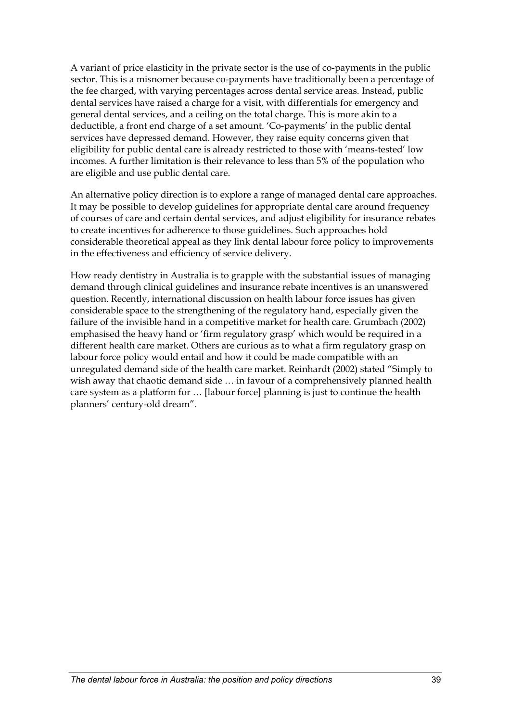A variant of price elasticity in the private sector is the use of co-payments in the public sector. This is a misnomer because co-payments have traditionally been a percentage of the fee charged, with varying percentages across dental service areas. Instead, public dental services have raised a charge for a visit, with differentials for emergency and general dental services, and a ceiling on the total charge. This is more akin to a deductible, a front end charge of a set amount. 'Co-payments' in the public dental services have depressed demand. However, they raise equity concerns given that eligibility for public dental care is already restricted to those with 'means-tested' low incomes. A further limitation is their relevance to less than 5% of the population who are eligible and use public dental care.

An alternative policy direction is to explore a range of managed dental care approaches. It may be possible to develop guidelines for appropriate dental care around frequency of courses of care and certain dental services, and adjust eligibility for insurance rebates to create incentives for adherence to those guidelines. Such approaches hold considerable theoretical appeal as they link dental labour force policy to improvements in the effectiveness and efficiency of service delivery.

How ready dentistry in Australia is to grapple with the substantial issues of managing demand through clinical guidelines and insurance rebate incentives is an unanswered question. Recently, international discussion on health labour force issues has given considerable space to the strengthening of the regulatory hand, especially given the failure of the invisible hand in a competitive market for health care. Grumbach (2002) emphasised the heavy hand or 'firm regulatory grasp' which would be required in a different health care market. Others are curious as to what a firm regulatory grasp on labour force policy would entail and how it could be made compatible with an unregulated demand side of the health care market. Reinhardt (2002) stated "Simply to wish away that chaotic demand side … in favour of a comprehensively planned health care system as a platform for … [labour force] planning is just to continue the health planners' century-old dream".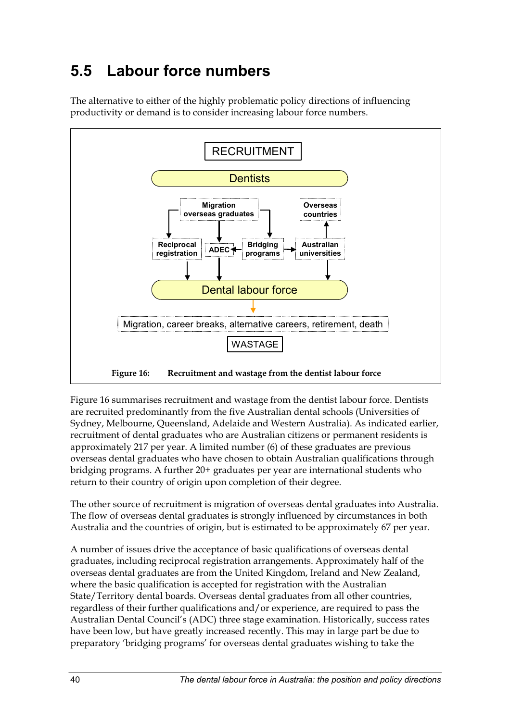# <span id="page-48-0"></span>**5.5 Labour force numbers**





<span id="page-48-1"></span>[Figure 16](#page-48-1) summarises recruitment and wastage from the dentist labour force. Dentists are recruited predominantly from the five Australian dental schools (Universities of Sydney, Melbourne, Queensland, Adelaide and Western Australia). As indicated earlier, recruitment of dental graduates who are Australian citizens or permanent residents is approximately 217 per year. A limited number (6) of these graduates are previous overseas dental graduates who have chosen to obtain Australian qualifications through bridging programs. A further 20+ graduates per year are international students who return to their country of origin upon completion of their degree.

The other source of recruitment is migration of overseas dental graduates into Australia. The flow of overseas dental graduates is strongly influenced by circumstances in both Australia and the countries of origin, but is estimated to be approximately 67 per year.

A number of issues drive the acceptance of basic qualifications of overseas dental graduates, including reciprocal registration arrangements. Approximately half of the overseas dental graduates are from the United Kingdom, Ireland and New Zealand, where the basic qualification is accepted for registration with the Australian State/Territory dental boards. Overseas dental graduates from all other countries, regardless of their further qualifications and/or experience, are required to pass the Australian Dental Council's (ADC) three stage examination. Historically, success rates have been low, but have greatly increased recently. This may in large part be due to preparatory 'bridging programs' for overseas dental graduates wishing to take the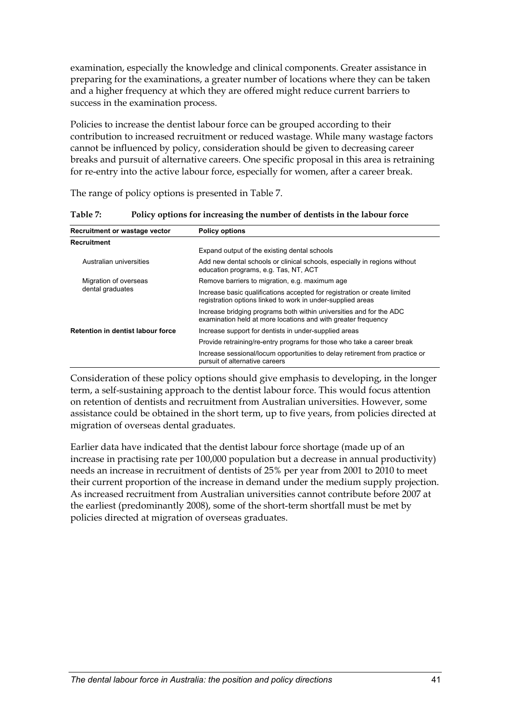<span id="page-49-0"></span>examination, especially the knowledge and clinical components. Greater assistance in preparing for the examinations, a greater number of locations where they can be taken and a higher frequency at which they are offered might reduce current barriers to success in the examination process.

Policies to increase the dentist labour force can be grouped according to their contribution to increased recruitment or reduced wastage. While many wastage factors cannot be influenced by policy, consideration should be given to decreasing career breaks and pursuit of alternative careers. One specific proposal in this area is retraining for re-entry into the active labour force, especially for women, after a career break.

The range of policy options is presented in [Table 7.](#page-49-1)

| Recruitment or wastage vector            | <b>Policy options</b>                                                                                                                    |  |
|------------------------------------------|------------------------------------------------------------------------------------------------------------------------------------------|--|
| Recruitment                              |                                                                                                                                          |  |
|                                          | Expand output of the existing dental schools                                                                                             |  |
| Australian universities                  | Add new dental schools or clinical schools, especially in regions without<br>education programs, e.g. Tas, NT, ACT                       |  |
| Migration of overseas                    | Remove barriers to migration, e.g. maximum age                                                                                           |  |
| dental graduates                         | Increase basic qualifications accepted for registration or create limited<br>registration options linked to work in under-supplied areas |  |
|                                          | Increase bridging programs both within universities and for the ADC<br>examination held at more locations and with greater frequency     |  |
| <b>Retention in dentist labour force</b> | Increase support for dentists in under-supplied areas                                                                                    |  |
|                                          | Provide retraining/re-entry programs for those who take a career break                                                                   |  |
|                                          | Increase sessional/locum opportunities to delay retirement from practice or<br>pursuit of alternative careers                            |  |

<span id="page-49-1"></span>**Table 7: Policy options for increasing the number of dentists in the labour force** 

Consideration of these policy options should give emphasis to developing, in the longer term, a self-sustaining approach to the dentist labour force. This would focus attention on retention of dentists and recruitment from Australian universities. However, some assistance could be obtained in the short term, up to five years, from policies directed at migration of overseas dental graduates.

Earlier data have indicated that the dentist labour force shortage (made up of an increase in practising rate per 100,000 population but a decrease in annual productivity) needs an increase in recruitment of dentists of 25% per year from 2001 to 2010 to meet their current proportion of the increase in demand under the medium supply projection. As increased recruitment from Australian universities cannot contribute before 2007 at the earliest (predominantly 2008), some of the short-term shortfall must be met by policies directed at migration of overseas graduates.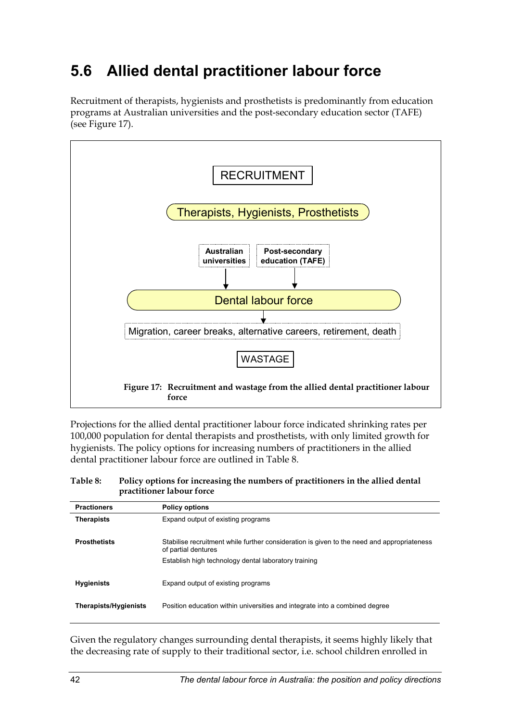# <span id="page-50-0"></span>**5.6 Allied dental practitioner labour force**

Recruitment of therapists, hygienists and prosthetists is predominantly from education programs at Australian universities and the post-secondary education sector (TAFE) (see Figure 17).



Projections for the allied dental practitioner labour force indicated shrinking rates per 100,000 population for dental therapists and prosthetists, with only limited growth for hygienists. The policy options for increasing numbers of practitioners in the allied dental practitioner labour force are outlined in Table 8.

#### **Table 8: Policy options for increasing the numbers of practitioners in the allied dental practitioner labour force**

| <b>Practioners</b>    | <b>Policy options</b>                                                                                             |
|-----------------------|-------------------------------------------------------------------------------------------------------------------|
| <b>Therapists</b>     | Expand output of existing programs                                                                                |
| <b>Prosthetists</b>   | Stabilise recruitment while further consideration is given to the need and appropriateness<br>of partial dentures |
|                       | Establish high technology dental laboratory training                                                              |
| <b>Hygienists</b>     | Expand output of existing programs                                                                                |
| Therapists/Hygienists | Position education within universities and integrate into a combined degree                                       |
|                       |                                                                                                                   |

Given the regulatory changes surrounding dental therapists, it seems highly likely that the decreasing rate of supply to their traditional sector, i.e. school children enrolled in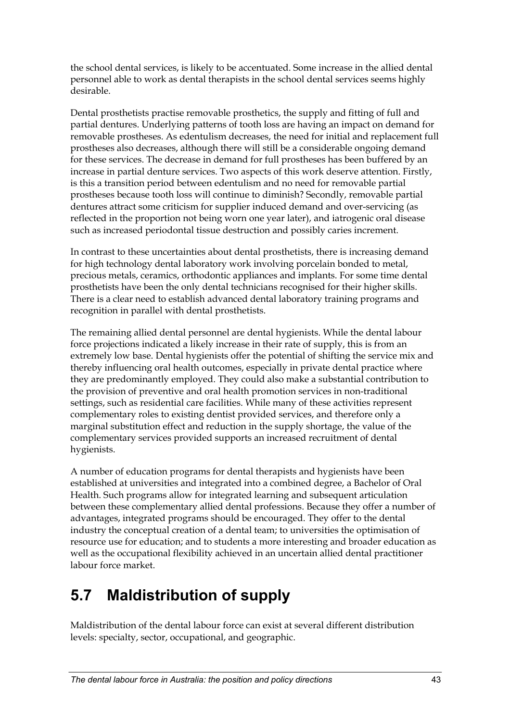<span id="page-51-0"></span>the school dental services, is likely to be accentuated. Some increase in the allied dental personnel able to work as dental therapists in the school dental services seems highly desirable.

Dental prosthetists practise removable prosthetics, the supply and fitting of full and partial dentures. Underlying patterns of tooth loss are having an impact on demand for removable prostheses. As edentulism decreases, the need for initial and replacement full prostheses also decreases, although there will still be a considerable ongoing demand for these services. The decrease in demand for full prostheses has been buffered by an increase in partial denture services. Two aspects of this work deserve attention. Firstly, is this a transition period between edentulism and no need for removable partial prostheses because tooth loss will continue to diminish? Secondly, removable partial dentures attract some criticism for supplier induced demand and over-servicing (as reflected in the proportion not being worn one year later), and iatrogenic oral disease such as increased periodontal tissue destruction and possibly caries increment.

In contrast to these uncertainties about dental prosthetists, there is increasing demand for high technology dental laboratory work involving porcelain bonded to metal, precious metals, ceramics, orthodontic appliances and implants. For some time dental prosthetists have been the only dental technicians recognised for their higher skills. There is a clear need to establish advanced dental laboratory training programs and recognition in parallel with dental prosthetists.

The remaining allied dental personnel are dental hygienists. While the dental labour force projections indicated a likely increase in their rate of supply, this is from an extremely low base. Dental hygienists offer the potential of shifting the service mix and thereby influencing oral health outcomes, especially in private dental practice where they are predominantly employed. They could also make a substantial contribution to the provision of preventive and oral health promotion services in non-traditional settings, such as residential care facilities. While many of these activities represent complementary roles to existing dentist provided services, and therefore only a marginal substitution effect and reduction in the supply shortage, the value of the complementary services provided supports an increased recruitment of dental hygienists.

A number of education programs for dental therapists and hygienists have been established at universities and integrated into a combined degree, a Bachelor of Oral Health. Such programs allow for integrated learning and subsequent articulation between these complementary allied dental professions. Because they offer a number of advantages, integrated programs should be encouraged. They offer to the dental industry the conceptual creation of a dental team; to universities the optimisation of resource use for education; and to students a more interesting and broader education as well as the occupational flexibility achieved in an uncertain allied dental practitioner labour force market.

# **5.7 Maldistribution of supply**

Maldistribution of the dental labour force can exist at several different distribution levels: specialty, sector, occupational, and geographic.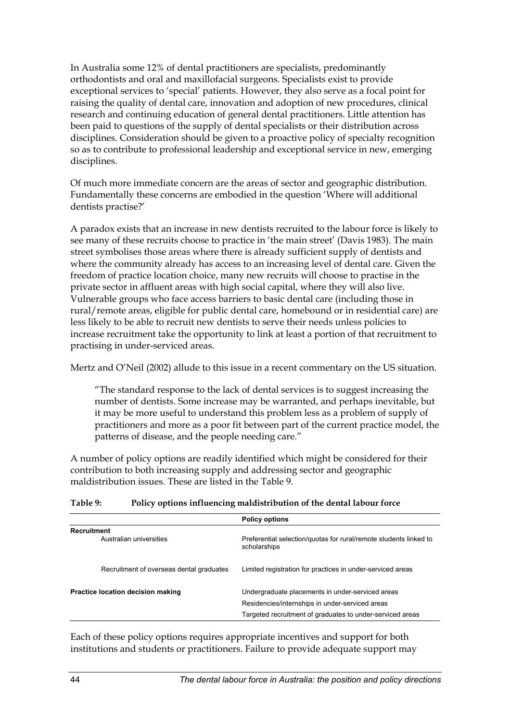<span id="page-52-0"></span>In Australia some 12% of dental practitioners are specialists, predominantly orthodontists and oral and maxillofacial surgeons. Specialists exist to provide exceptional services to 'special' patients. However, they also serve as a focal point for raising the quality of dental care, innovation and adoption of new procedures, clinical research and continuing education of general dental practitioners. Little attention has been paid to questions of the supply of dental specialists or their distribution across disciplines. Consideration should be given to a proactive policy of specialty recognition so as to contribute to professional leadership and exceptional service in new, emerging disciplines.

Of much more immediate concern are the areas of sector and geographic distribution. Fundamentally these concerns are embodied in the question 'Where will additional dentists practise?'

A paradox exists that an increase in new dentists recruited to the labour force is likely to see many of these recruits choose to practice in 'the main street' (Davis 1983). The main street symbolises those areas where there is already sufficient supply of dentists and where the community already has access to an increasing level of dental care. Given the freedom of practice location choice, many new recruits will choose to practise in the private sector in affluent areas with high social capital, where they will also live. Vulnerable groups who face access barriers to basic dental care (including those in rural/remote areas, eligible for public dental care, homebound or in residential care) are less likely to be able to recruit new dentists to serve their needs unless policies to increase recruitment take the opportunity to link at least a portion of that recruitment to practising in under-serviced areas.

Mertz and O'Neil (2002) allude to this issue in a recent commentary on the US situation.

"The standard response to the lack of dental services is to suggest increasing the number of dentists. Some increase may be warranted, and perhaps inevitable, but it may be more useful to understand this problem less as a problem of supply of practitioners and more as a poor fit between part of the current practice model, the patterns of disease, and the people needing care."

A number of policy options are readily identified which might be considered for their contribution to both increasing supply and addressing sector and geographic maldistribution issues. These are listed in the [Table 9.](#page-52-1)

#### <span id="page-52-1"></span>**Table 9: Policy options influencing maldistribution of the dental labour force**

|                                          | <b>Policy options</b>                                                                                                                                            |
|------------------------------------------|------------------------------------------------------------------------------------------------------------------------------------------------------------------|
| Recruitment<br>Australian universities   | Preferential selection/guotas for rural/remote students linked to<br>scholarships                                                                                |
| Recruitment of overseas dental graduates | Limited registration for practices in under-serviced areas                                                                                                       |
| Practice location decision making        | Undergraduate placements in under-serviced areas<br>Residencies/internships in under-serviced areas<br>Targeted recruitment of graduates to under-serviced areas |

Each of these policy options requires appropriate incentives and support for both institutions and students or practitioners. Failure to provide adequate support may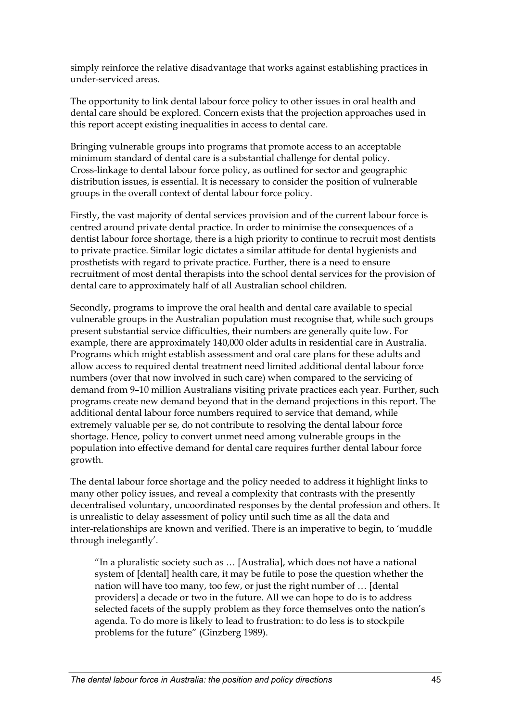simply reinforce the relative disadvantage that works against establishing practices in under-serviced areas.

The opportunity to link dental labour force policy to other issues in oral health and dental care should be explored. Concern exists that the projection approaches used in this report accept existing inequalities in access to dental care.

Bringing vulnerable groups into programs that promote access to an acceptable minimum standard of dental care is a substantial challenge for dental policy. Cross-linkage to dental labour force policy, as outlined for sector and geographic distribution issues, is essential. It is necessary to consider the position of vulnerable groups in the overall context of dental labour force policy.

Firstly, the vast majority of dental services provision and of the current labour force is centred around private dental practice. In order to minimise the consequences of a dentist labour force shortage, there is a high priority to continue to recruit most dentists to private practice. Similar logic dictates a similar attitude for dental hygienists and prosthetists with regard to private practice. Further, there is a need to ensure recruitment of most dental therapists into the school dental services for the provision of dental care to approximately half of all Australian school children.

Secondly, programs to improve the oral health and dental care available to special vulnerable groups in the Australian population must recognise that, while such groups present substantial service difficulties, their numbers are generally quite low. For example, there are approximately 140,000 older adults in residential care in Australia. Programs which might establish assessment and oral care plans for these adults and allow access to required dental treatment need limited additional dental labour force numbers (over that now involved in such care) when compared to the servicing of demand from 9–10 million Australians visiting private practices each year. Further, such programs create new demand beyond that in the demand projections in this report. The additional dental labour force numbers required to service that demand, while extremely valuable per se, do not contribute to resolving the dental labour force shortage. Hence, policy to convert unmet need among vulnerable groups in the population into effective demand for dental care requires further dental labour force growth.

The dental labour force shortage and the policy needed to address it highlight links to many other policy issues, and reveal a complexity that contrasts with the presently decentralised voluntary, uncoordinated responses by the dental profession and others. It is unrealistic to delay assessment of policy until such time as all the data and inter-relationships are known and verified. There is an imperative to begin, to 'muddle through inelegantly'.

"In a pluralistic society such as … [Australia], which does not have a national system of [dental] health care, it may be futile to pose the question whether the nation will have too many, too few, or just the right number of … [dental providers] a decade or two in the future. All we can hope to do is to address selected facets of the supply problem as they force themselves onto the nation's agenda. To do more is likely to lead to frustration: to do less is to stockpile problems for the future" (Ginzberg 1989).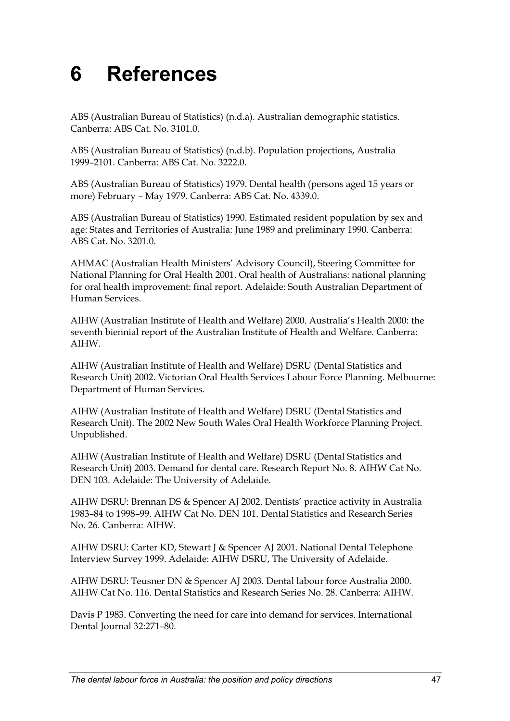# <span id="page-55-0"></span>**6 References**

ABS (Australian Bureau of Statistics) (n.d.a). Australian demographic statistics. Canberra: ABS Cat. No. 3101.0.

ABS (Australian Bureau of Statistics) (n.d.b). Population projections, Australia 1999–2101. Canberra: ABS Cat. No. 3222.0.

ABS (Australian Bureau of Statistics) 1979. Dental health (persons aged 15 years or more) February – May 1979. Canberra: ABS Cat. No. 4339.0.

ABS (Australian Bureau of Statistics) 1990. Estimated resident population by sex and age: States and Territories of Australia: June 1989 and preliminary 1990. Canberra: ABS Cat. No. 3201.0.

AHMAC (Australian Health Ministers' Advisory Council), Steering Committee for National Planning for Oral Health 2001. Oral health of Australians: national planning for oral health improvement: final report. Adelaide: South Australian Department of Human Services.

AIHW (Australian Institute of Health and Welfare) 2000. Australia's Health 2000: the seventh biennial report of the Australian Institute of Health and Welfare. Canberra: AIHW.

AIHW (Australian Institute of Health and Welfare) DSRU (Dental Statistics and Research Unit) 2002. Victorian Oral Health Services Labour Force Planning. Melbourne: Department of Human Services.

AIHW (Australian Institute of Health and Welfare) DSRU (Dental Statistics and Research Unit). The 2002 New South Wales Oral Health Workforce Planning Project. Unpublished.

AIHW (Australian Institute of Health and Welfare) DSRU (Dental Statistics and Research Unit) 2003. Demand for dental care. Research Report No. 8. AIHW Cat No. DEN 103. Adelaide: The University of Adelaide.

AIHW DSRU: Brennan DS & Spencer AJ 2002. Dentists' practice activity in Australia 1983–84 to 1998–99. AIHW Cat No. DEN 101. Dental Statistics and Research Series No. 26. Canberra: AIHW.

AIHW DSRU: Carter KD, Stewart J & Spencer AJ 2001. National Dental Telephone Interview Survey 1999. Adelaide: AIHW DSRU, The University of Adelaide.

AIHW DSRU: Teusner DN & Spencer AJ 2003. Dental labour force Australia 2000. AIHW Cat No. 116. Dental Statistics and Research Series No. 28. Canberra: AIHW.

Davis P 1983. Converting the need for care into demand for services. International Dental Journal 32:271–80.